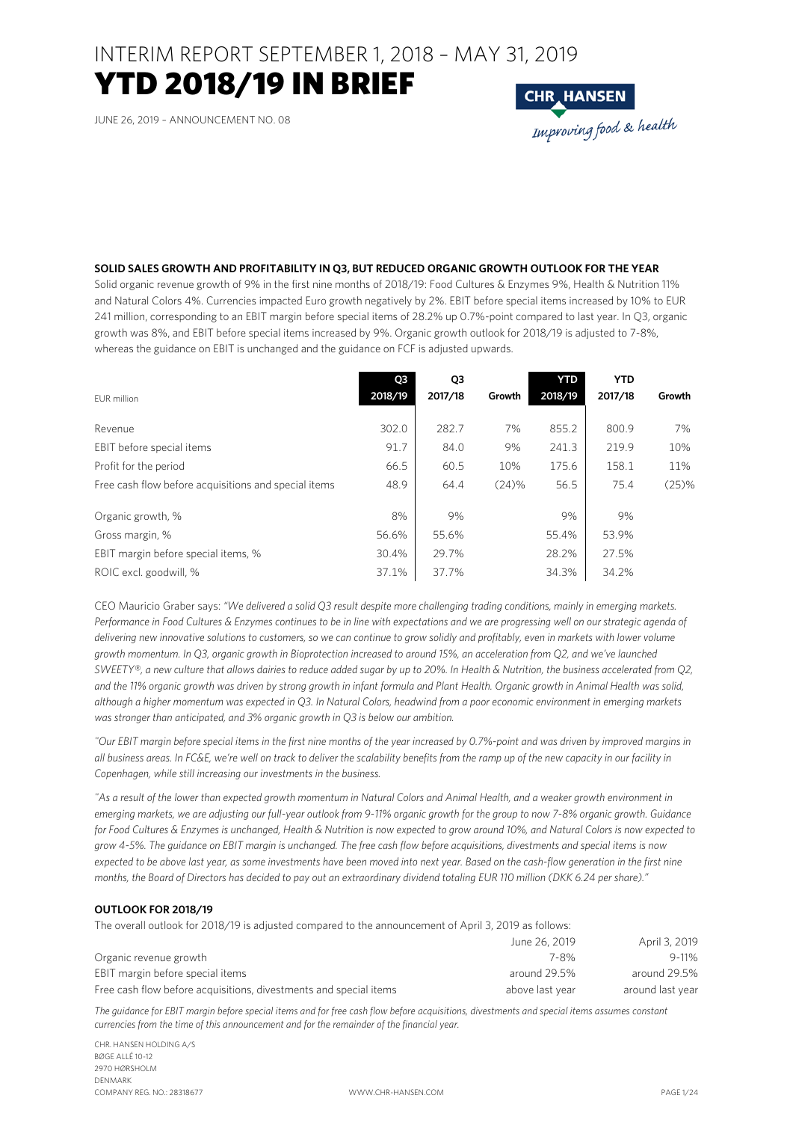## INTERIM REPORT SEPTEMBER 1, 2018 - MAY 31, 2019 YTD 2018/19 IN BRIEF

JUNE 26, 2019 – ANNOUNCEMENT NO. 08



#### **SOLID SALES GROWTH AND PROFITABILITY IN Q3, BUT REDUCED ORGANIC GROWTH OUTLOOK FOR THE YEAR**

Solid organic revenue growth of 9% in the first nine months of 2018/19: Food Cultures & Enzymes 9%, Health & Nutrition 11% and Natural Colors 4%. Currencies impacted Euro growth negatively by 2%. EBIT before special items increased by 10% to EUR 241 million, corresponding to an EBIT margin before special items of 28.2% up 0.7%-point compared to last year. In Q3, organic growth was 8%, and EBIT before special items increased by 9%. Organic growth outlook for 2018/19 is adjusted to 7-8%, whereas the guidance on EBIT is unchanged and the guidance on FCF is adjusted upwards.

| EUR million                                          | Q3<br>2018/19 | Q3<br>2017/18 | Growth | <b>YTD</b><br>2018/19 | <b>YTD</b><br>2017/18 | Growth |
|------------------------------------------------------|---------------|---------------|--------|-----------------------|-----------------------|--------|
| Revenue                                              | 302.0         | 282.7         | 7%     | 855.2                 | 800.9                 | 7%     |
| EBIT before special items                            | 91.7          | 84.0          | 9%     | 241.3                 | 219.9                 | 10%    |
| Profit for the period                                | 66.5          | 60.5          | 10%    | 175.6                 | 158.1                 | 11%    |
| Free cash flow before acquisitions and special items | 48.9          | 64.4          | (24)%  | 56.5                  | 75.4                  | (25)%  |
| Organic growth, %                                    | 8%            | 9%            |        | 9%                    | 9%                    |        |
| Gross margin, %                                      | 56.6%         | 55.6%         |        | 55.4%                 | 53.9%                 |        |
| EBIT margin before special items, %                  | 30.4%         | 29.7%         |        | 28.2%                 | 27.5%                 |        |
| ROIC excl. goodwill, %                               | 37.1%         | 37.7%         |        | 34.3%                 | 34.2%                 |        |

CEO Mauricio Graber says: *"We delivered a solid Q3 result despite more challenging trading conditions, mainly in emerging markets. Performance in Food Cultures & Enzymes continues to be in line with expectations and we are progressing well on our strategic agenda of delivering new innovative solutions to customers, so we can continue to grow solidly and profitably, even in markets with lower volume growth momentum. In Q3, organic growth in Bioprotection increased to around 15%, an acceleration from Q2, and we've launched SWEETY®, a new culture that allows dairies to reduce added sugar by up to 20%. In Health & Nutrition, the business accelerated from Q2, and the 11% organic growth was driven by strong growth in infant formula and Plant Health. Organic growth in Animal Health was solid, although a higher momentum was expected in Q3. In Natural Colors, headwind from a poor economic environment in emerging markets was stronger than anticipated, and 3% organic growth in Q3 is below our ambition.*

*"Our EBIT margin before special items in the first nine months of the year increased by 0.7%-point and was driven by improved margins in all business areas. In FC&E, we're well on track to deliver the scalability benefits from the ramp up of the new capacity in our facility in Copenhagen, while still increasing our investments in the business.* 

*"As a result of the lower than expected growth momentum in Natural Colors and Animal Health, and a weaker growth environment in emerging markets, we are adjusting our full-year outlook from 9-11% organic growth for the group to now 7-8% organic growth. Guidance for Food Cultures & Enzymes is unchanged, Health & Nutrition is now expected to grow around 10%, and Natural Colors is now expected to grow 4-5%. The guidance on EBIT margin is unchanged. The free cash flow before acquisitions, divestments and special items is now expected to be above last year, as some investments have been moved into next year. Based on the cash-flow generation in the first nine months, the Board of Directors has decided to pay out an extraordinary dividend totaling EUR 110 million (DKK 6.24 per share)."*

#### **OUTLOOK FOR 2018/19**

The overall outlook for 2018/19 is adjusted compared to the announcement of April 3, 2019 as follows:

|                                                                   | June 26, 2019   | April 3, 2019    |
|-------------------------------------------------------------------|-----------------|------------------|
| Organic revenue growth                                            | 7-8%            | $9 - 11%$        |
| EBIT margin before special items                                  | around 29.5%    | around 29.5%     |
| Free cash flow before acquisitions, divestments and special items | above last year | around last year |

*The guidance for EBIT margin before special items and for free cash flow before acquisitions, divestments and special items assumes constant currencies from the time of this announcement and for the remainder of the financial year.* 

CHR. HANSEN HOLDING A/S BØGE ALLÉ 10-12 2970 HØRSHOLM DENMARK COMPANY REG. NO.: 28318677 WWW.CHR-HANSEN.COM PAGE 1/24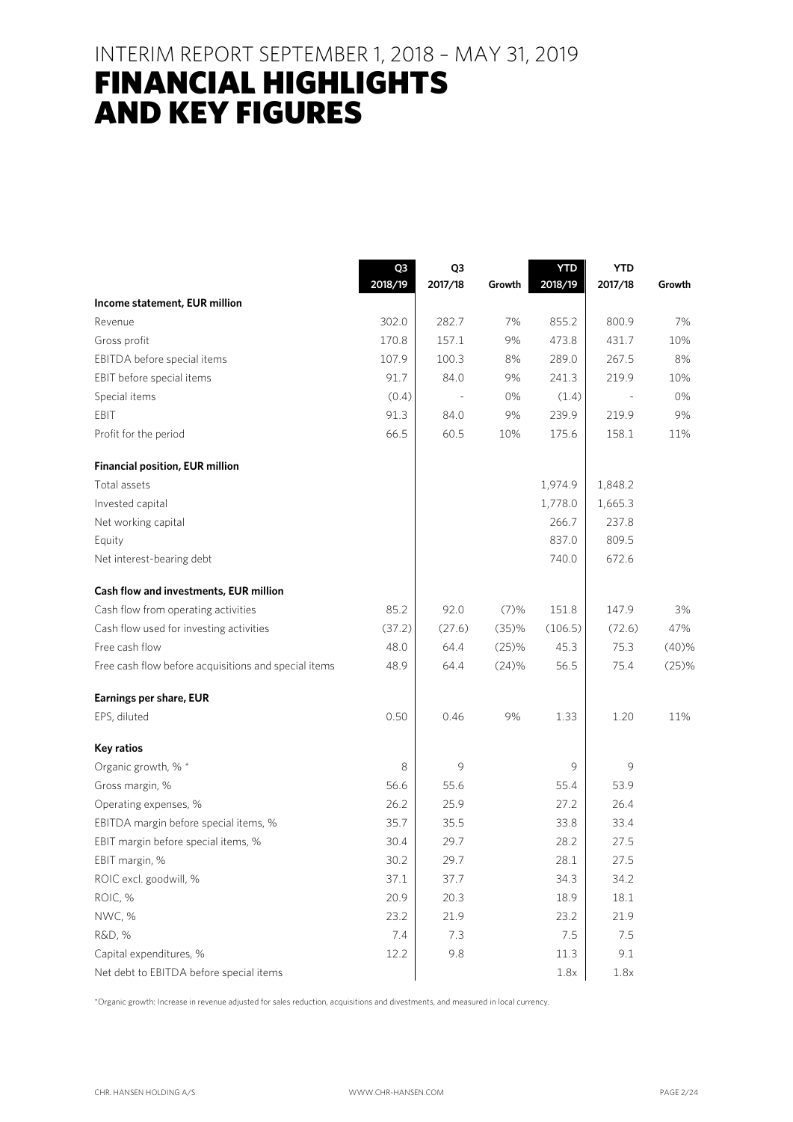### INTERIM REPORT SEPTEMBER 1, 2018 – MAY 31, 2019

## FINANCIAL HIGHLIGHTS AND KEY FIGURES

|                                                      | Q3      | Q3      |        | <b>YTD</b> | <b>YTD</b> |        |
|------------------------------------------------------|---------|---------|--------|------------|------------|--------|
| Income statement, EUR million                        | 2018/19 | 2017/18 | Growth | 2018/19    | 2017/18    | Growth |
| Revenue                                              | 302.0   | 282.7   | 7%     | 855.2      | 800.9      | 7%     |
| Gross profit                                         | 170.8   | 157.1   | 9%     | 473.8      | 431.7      | 10%    |
| EBITDA before special items                          | 107.9   | 100.3   | 8%     | 289.0      | 267.5      | 8%     |
| EBIT before special items                            | 91.7    | 84.0    | 9%     | 241.3      | 219.9      | 10%    |
| Special items                                        | (0.4)   |         | 0%     | (1.4)      |            | 0%     |
| EBIT                                                 | 91.3    | 84.0    | 9%     | 239.9      | 219.9      | 9%     |
| Profit for the period                                | 66.5    | 60.5    | 10%    | 175.6      | 158.1      | 11%    |
| <b>Financial position, EUR million</b>               |         |         |        |            |            |        |
| Total assets                                         |         |         |        | 1,974.9    | 1,848.2    |        |
| Invested capital                                     |         |         |        | 1,778.0    | 1,665.3    |        |
| Net working capital                                  |         |         |        | 266.7      | 237.8      |        |
| Equity                                               |         |         |        | 837.0      | 809.5      |        |
| Net interest-bearing debt                            |         |         |        | 740.0      | 672.6      |        |
| Cash flow and investments, EUR million               |         |         |        |            |            |        |
| Cash flow from operating activities                  | 85.2    | 92.0    | (7)%   | 151.8      | 147.9      | 3%     |
| Cash flow used for investing activities              | (37.2)  | (27.6)  | (35)%  | (106.5)    | (72.6)     | 47%    |
| Free cash flow                                       | 48.0    | 64.4    | (25)%  | 45.3       | 75.3       | (40)%  |
| Free cash flow before acquisitions and special items | 48.9    | 64.4    | (24)%  | 56.5       | 75.4       | (25)%  |
| Earnings per share, EUR                              |         |         |        |            |            |        |
| EPS, diluted                                         | 0.50    | 0.46    | 9%     | 1.33       | 1.20       | 11%    |
| <b>Key ratios</b>                                    |         |         |        |            |            |        |
| Organic growth, % *                                  | 8       | 9       |        | 9          | 9          |        |
| Gross margin, %                                      | 56.6    | 55.6    |        | 55.4       | 53.9       |        |
| Operating expenses, %                                | 26.2    | 25.9    |        | 27.2       | 26.4       |        |
| EBITDA margin before special items, %                | 35.7    | 35.5    |        | 33.8       | 33.4       |        |
| EBIT margin before special items, %                  | 30.4    | 29.7    |        | 28.2       | 27.5       |        |
| EBIT margin, %                                       | 30.2    | 29.7    |        | 28.1       | 27.5       |        |
| ROIC excl. goodwill, %                               | 37.1    | 37.7    |        | 34.3       | 34.2       |        |
| ROIC, %                                              | 20.9    | 20.3    |        | 18.9       | 18.1       |        |
| NWC, %                                               | 23.2    | 21.9    |        | 23.2       | 21.9       |        |
| R&D, %                                               | 7.4     | 7.3     |        | 7.5        | 7.5        |        |
| Capital expenditures, %                              | 12.2    | 9.8     |        | 11.3       | 9.1        |        |
| Net debt to EBITDA before special items              |         |         |        | 1.8x       | 1.8x       |        |

\*Organic growth: Increase in revenue adjusted for sales reduction, acquisitions and divestments, and measured in local currency.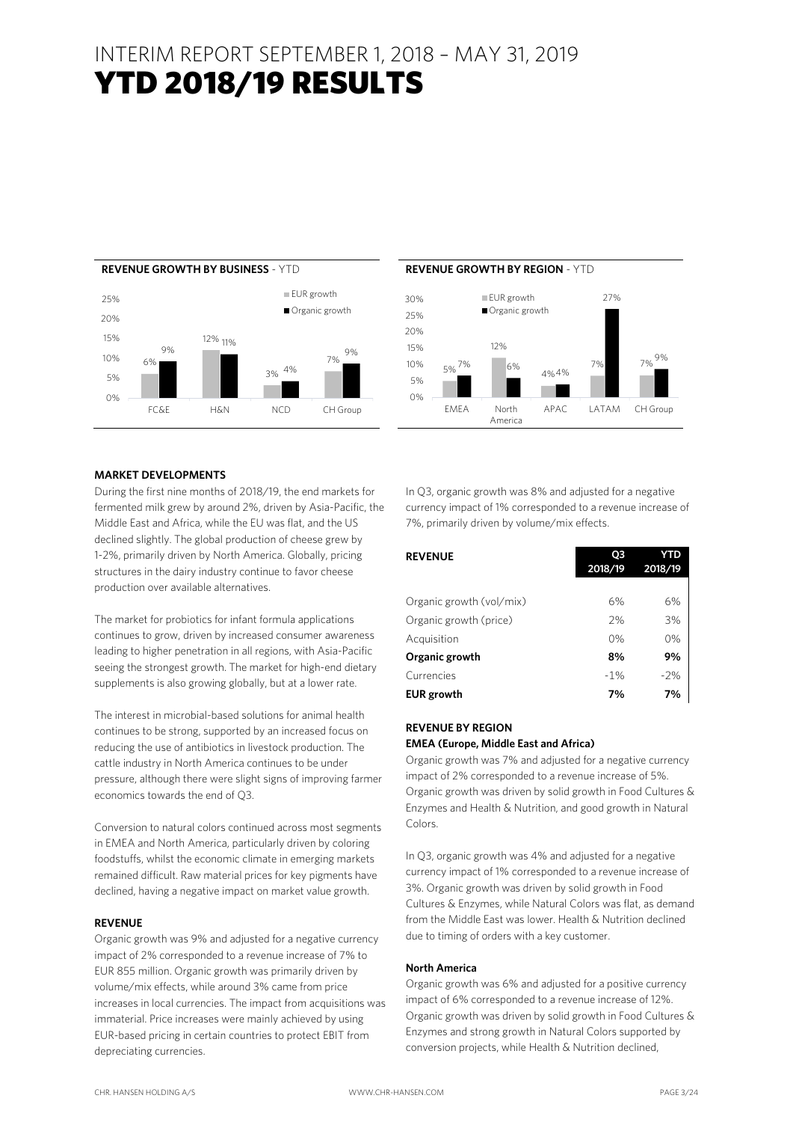## INTERIM REPORT SEPTEMBER 1, 2018 – MAY 31, 2019 YTD 2018/19 RESULTS





#### **MARKET DEVELOPMENTS**

During the first nine months of 2018/19, the end markets for fermented milk grew by around 2%, driven by Asia-Pacific, the Middle East and Africa, while the EU was flat, and the US declined slightly. The global production of cheese grew by 1-2%, primarily driven by North America. Globally, pricing structures in the dairy industry continue to favor cheese production over available alternatives.

The market for probiotics for infant formula applications continues to grow, driven by increased consumer awareness leading to higher penetration in all regions, with Asia-Pacific seeing the strongest growth. The market for high-end dietary supplements is also growing globally, but at a lower rate.

The interest in microbial-based solutions for animal health continues to be strong, supported by an increased focus on reducing the use of antibiotics in livestock production. The cattle industry in North America continues to be under pressure, although there were slight signs of improving farmer economics towards the end of Q3.

Conversion to natural colors continued across most segments in EMEA and North America, particularly driven by coloring foodstuffs, whilst the economic climate in emerging markets remained difficult. Raw material prices for key pigments have declined, having a negative impact on market value growth.

#### **REVENUE**

Organic growth was 9% and adjusted for a negative currency impact of 2% corresponded to a revenue increase of 7% to EUR 855 million. Organic growth was primarily driven by volume/mix effects, while around 3% came from price increases in local currencies. The impact from acquisitions was immaterial. Price increases were mainly achieved by using EUR-based pricing in certain countries to protect EBIT from depreciating currencies.

In Q3, organic growth was 8% and adjusted for a negative currency impact of 1% corresponded to a revenue increase of 7%, primarily driven by volume/mix effects.

| <b>REVENUE</b>           | O3<br>2018/19 | <b>YTD</b><br>2018/19 |
|--------------------------|---------------|-----------------------|
|                          |               |                       |
| Organic growth (vol/mix) | 6%            | 6%                    |
| Organic growth (price)   | 2%            | 3%                    |
| Acquisition              | 0%            | 0%                    |
| Organic growth           | 8%            | 9%                    |
| Currencies               | $-1%$         | $-2%$                 |
| <b>EUR</b> growth        | 7%            | 7%                    |

#### **REVENUE BY REGION**

#### **EMEA (Europe, Middle East and Africa)**

Organic growth was 7% and adjusted for a negative currency impact of 2% corresponded to a revenue increase of 5%. Organic growth was driven by solid growth in Food Cultures & Enzymes and Health & Nutrition, and good growth in Natural Colors.

In Q3, organic growth was 4% and adjusted for a negative currency impact of 1% corresponded to a revenue increase of 3%. Organic growth was driven by solid growth in Food Cultures & Enzymes, while Natural Colors was flat, as demand from the Middle East was lower. Health & Nutrition declined due to timing of orders with a key customer.

#### **North America**

Organic growth was 6% and adjusted for a positive currency impact of 6% corresponded to a revenue increase of 12%. Organic growth was driven by solid growth in Food Cultures & Enzymes and strong growth in Natural Colors supported by conversion projects, while Health & Nutrition declined,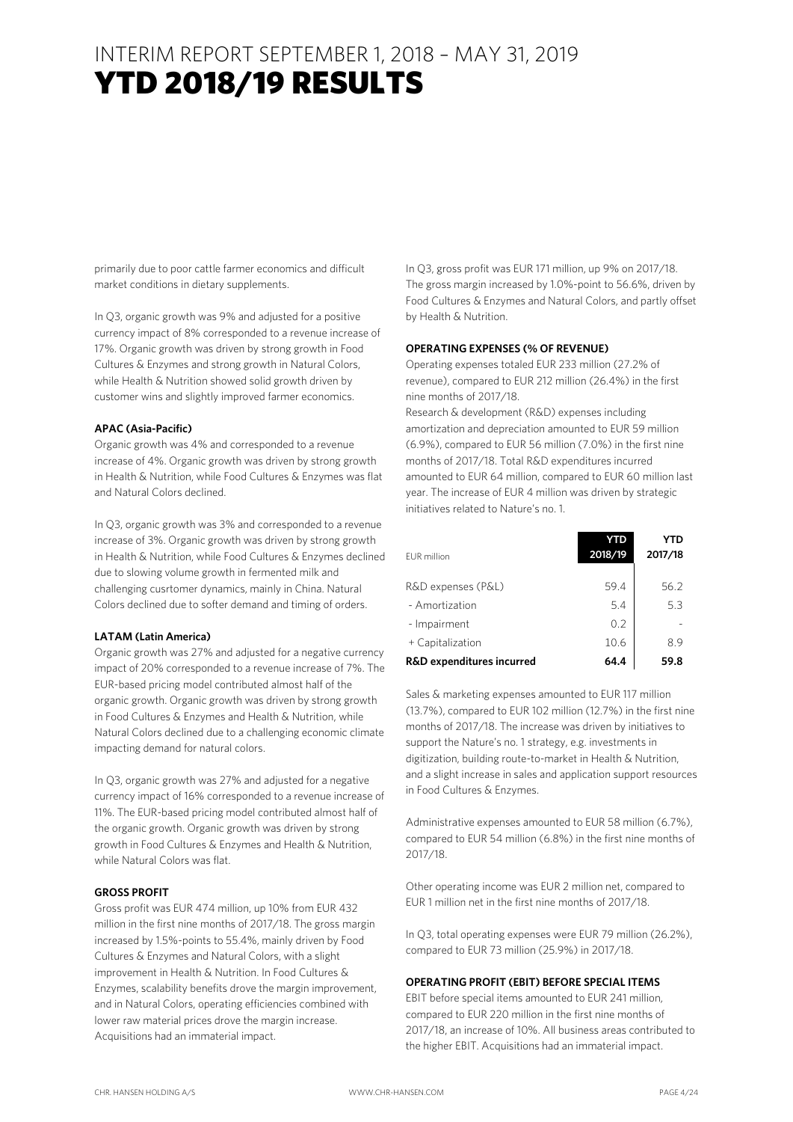primarily due to poor cattle farmer economics and difficult market conditions in dietary supplements.

In Q3, organic growth was 9% and adjusted for a positive currency impact of 8% corresponded to a revenue increase of 17%. Organic growth was driven by strong growth in Food Cultures & Enzymes and strong growth in Natural Colors, while Health & Nutrition showed solid growth driven by customer wins and slightly improved farmer economics.

#### **APAC (Asia-Pacific)**

Organic growth was 4% and corresponded to a revenue increase of 4%. Organic growth was driven by strong growth in Health & Nutrition, while Food Cultures & Enzymes was flat and Natural Colors declined.

In Q3, organic growth was 3% and corresponded to a revenue increase of 3%. Organic growth was driven by strong growth in Health & Nutrition, while Food Cultures & Enzymes declined due to slowing volume growth in fermented milk and challenging cusrtomer dynamics, mainly in China. Natural Colors declined due to softer demand and timing of orders.

#### **LATAM (Latin America)**

Organic growth was 27% and adjusted for a negative currency impact of 20% corresponded to a revenue increase of 7%. The EUR-based pricing model contributed almost half of the organic growth. Organic growth was driven by strong growth in Food Cultures & Enzymes and Health & Nutrition, while Natural Colors declined due to a challenging economic climate impacting demand for natural colors.

In Q3, organic growth was 27% and adjusted for a negative currency impact of 16% corresponded to a revenue increase of 11%. The EUR-based pricing model contributed almost half of the organic growth. Organic growth was driven by strong growth in Food Cultures & Enzymes and Health & Nutrition, while Natural Colors was flat.

#### **GROSS PROFIT**

Gross profit was EUR 474 million, up 10% from EUR 432 million in the first nine months of 2017/18. The gross margin increased by 1.5%-points to 55.4%, mainly driven by Food Cultures & Enzymes and Natural Colors, with a slight improvement in Health & Nutrition. In Food Cultures & Enzymes, scalability benefits drove the margin improvement, and in Natural Colors, operating efficiencies combined with lower raw material prices drove the margin increase. Acquisitions had an immaterial impact.

In Q3, gross profit was EUR 171 million, up 9% on 2017/18. The gross margin increased by 1.0%-point to 56.6%, driven by Food Cultures & Enzymes and Natural Colors, and partly offset by Health & Nutrition.

#### **OPERATING EXPENSES (% OF REVENUE)**

Operating expenses totaled EUR 233 million (27.2% of revenue), compared to EUR 212 million (26.4%) in the first nine months of 2017/18.

Research & development (R&D) expenses including amortization and depreciation amounted to EUR 59 million (6.9%), compared to EUR 56 million (7.0%) in the first nine months of 2017/18. Total R&D expenditures incurred amounted to EUR 64 million, compared to EUR 60 million last year. The increase of EUR 4 million was driven by strategic initiatives related to Nature's no. 1.

| <b>EUR</b> million                   | YTD<br>2018/19 | YTD<br>2017/18 |
|--------------------------------------|----------------|----------------|
| R&D expenses (P&L)                   | 59.4           | 56.2           |
| - Amortization                       | 5.4            | 5.3            |
| - Impairment                         | 0.2            |                |
| + Capitalization                     | 10.6           | 89             |
| <b>R&amp;D</b> expenditures incurred | 64.4           | 59.8           |

Sales & marketing expenses amounted to EUR 117 million (13.7%), compared to EUR 102 million (12.7%) in the first nine months of 2017/18. The increase was driven by initiatives to support the Nature's no. 1 strategy, e.g. investments in digitization, building route-to-market in Health & Nutrition, and a slight increase in sales and application support resources in Food Cultures & Enzymes.

Administrative expenses amounted to EUR 58 million (6.7%), compared to EUR 54 million (6.8%) in the first nine months of 2017/18.

Other operating income was EUR 2 million net, compared to EUR 1 million net in the first nine months of 2017/18.

In Q3, total operating expenses were EUR 79 million (26.2%), compared to EUR 73 million (25.9%) in 2017/18.

#### **OPERATING PROFIT (EBIT) BEFORE SPECIAL ITEMS**

EBIT before special items amounted to EUR 241 million, compared to EUR 220 million in the first nine months of 2017/18, an increase of 10%. All business areas contributed to the higher EBIT. Acquisitions had an immaterial impact.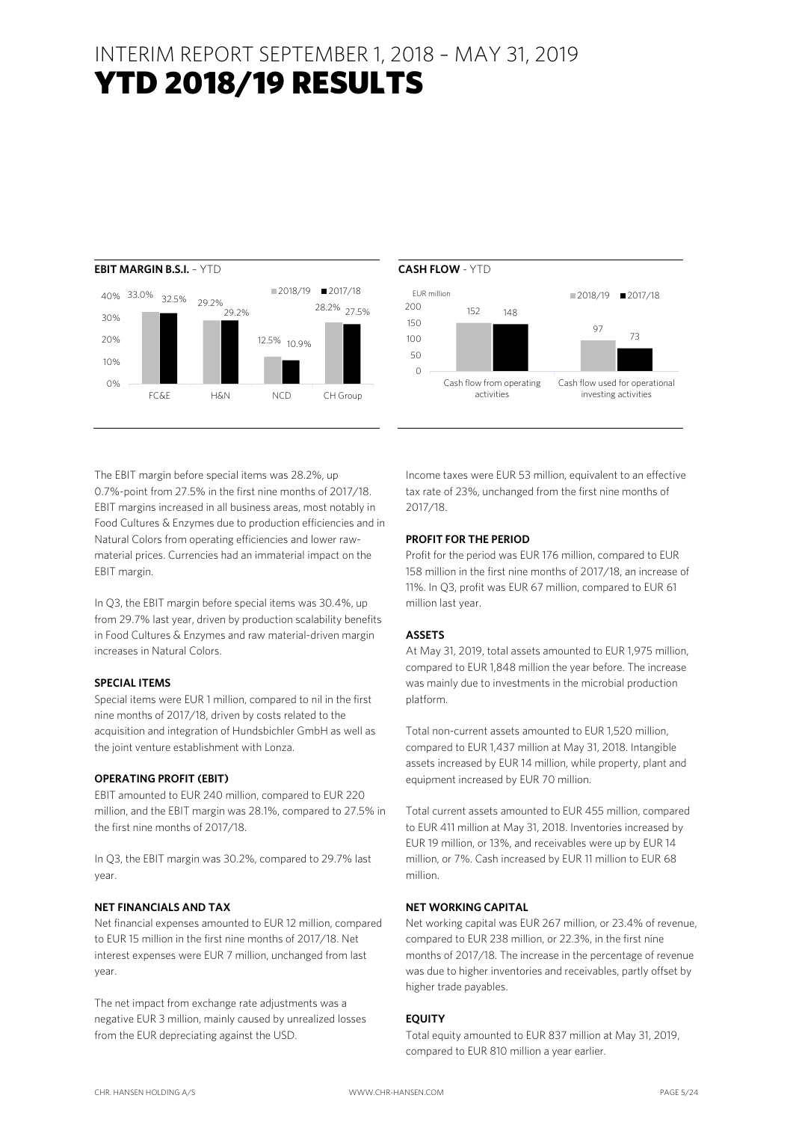## INTERIM REPORT SEPTEMBER 1, 2018 – MAY 31, 2019 YTD 2018/19 RESULTS





The EBIT margin before special items was 28.2%, up 0.7%-point from 27.5% in the first nine months of 2017/18. EBIT margins increased in all business areas, most notably in Food Cultures & Enzymes due to production efficiencies and in Natural Colors from operating efficiencies and lower rawmaterial prices. Currencies had an immaterial impact on the EBIT margin.

In Q3, the EBIT margin before special items was 30.4%, up from 29.7% last year, driven by production scalability benefits in Food Cultures & Enzymes and raw material-driven margin increases in Natural Colors.

#### **SPECIAL ITEMS**

Special items were EUR 1 million, compared to nil in the first nine months of 2017/18, driven by costs related to the acquisition and integration of Hundsbichler GmbH as well as the joint venture establishment with Lonza.

#### **OPERATING PROFIT (EBIT)**

EBIT amounted to EUR 240 million, compared to EUR 220 million, and the EBIT margin was 28.1%, compared to 27.5% in the first nine months of 2017/18.

In Q3, the EBIT margin was 30.2%, compared to 29.7% last year.

#### **NET FINANCIALS AND TAX**

Net financial expenses amounted to EUR 12 million, compared to EUR 15 million in the first nine months of 2017/18. Net interest expenses were EUR 7 million, unchanged from last year.

The net impact from exchange rate adjustments was a negative EUR 3 million, mainly caused by unrealized losses from the EUR depreciating against the USD.

Income taxes were EUR 53 million, equivalent to an effective tax rate of 23%, unchanged from the first nine months of 2017/18.

#### **PROFIT FOR THE PERIOD**

Profit for the period was EUR 176 million, compared to EUR 158 million in the first nine months of 2017/18, an increase of 11%. In Q3, profit was EUR 67 million, compared to EUR 61 million last year.

#### **ASSETS**

At May 31, 2019, total assets amounted to EUR 1,975 million, compared to EUR 1,848 million the year before. The increase was mainly due to investments in the microbial production platform.

Total non-current assets amounted to EUR 1,520 million, compared to EUR 1,437 million at May 31, 2018. Intangible assets increased by EUR 14 million, while property, plant and equipment increased by EUR 70 million.

Total current assets amounted to EUR 455 million, compared to EUR 411 million at May 31, 2018. Inventories increased by EUR 19 million, or 13%, and receivables were up by EUR 14 million, or 7%. Cash increased by EUR 11 million to EUR 68 million.

#### **NET WORKING CAPITAL**

Net working capital was EUR 267 million, or 23.4% of revenue, compared to EUR 238 million, or 22.3%, in the first nine months of 2017/18. The increase in the percentage of revenue was due to higher inventories and receivables, partly offset by higher trade payables.

#### **EQUITY**

Total equity amounted to EUR 837 million at May 31, 2019, compared to EUR 810 million a year earlier.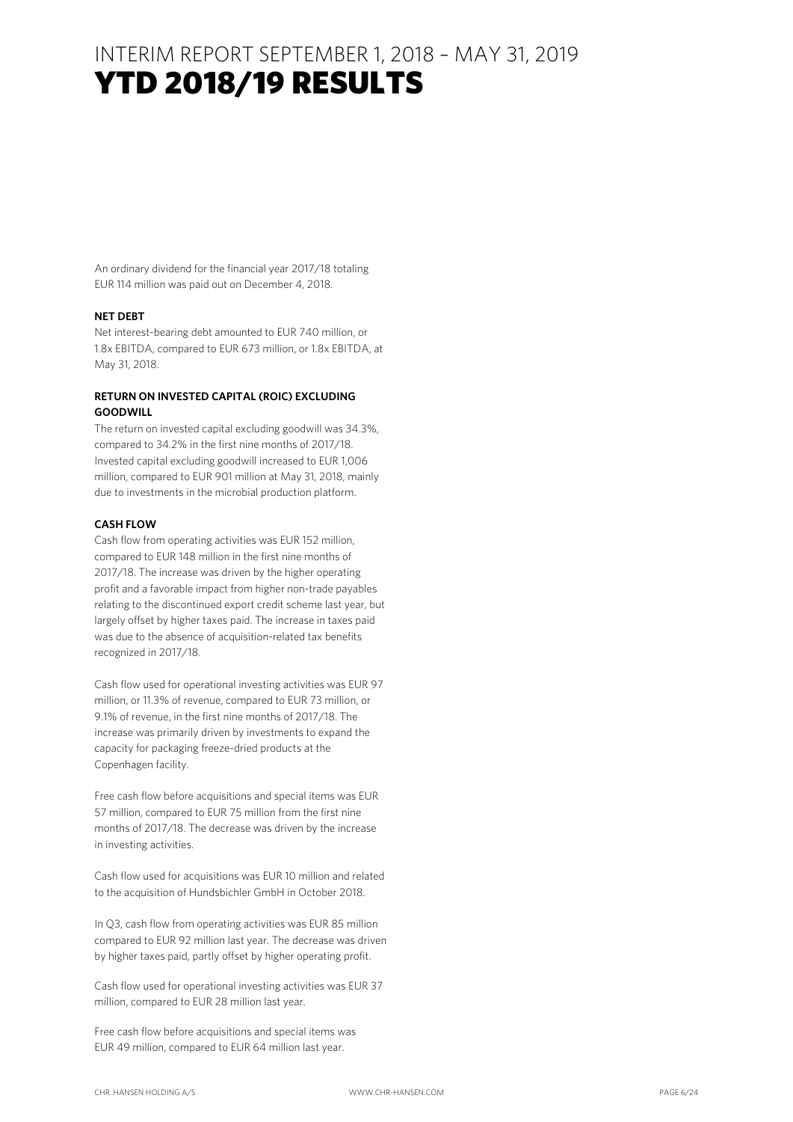## YTD 2018/19 RESULTS

An ordinary dividend for the financial year 2017/18 totaling EUR 114 million was paid out on December 4, 2018.

#### **NET DEBT**

Net interest-bearing debt amounted to EUR 740 million, or 1.8x EBITDA, compared to EUR 673 million, or 1.8x EBITDA, at May 31, 2018.

#### **RETURN ON INVESTED CAPITAL (ROIC) EXCLUDING GOODWILL**

The return on invested capital excluding goodwill was 34.3%, compared to 34.2% in the first nine months of 2017/18. Invested capital excluding goodwill increased to EUR 1,006 million, compared to EUR 901 million at May 31, 2018, mainly due to investments in the microbial production platform.

#### **CASH FLOW**

Cash flow from operating activities was EUR 152 million, compared to EUR 148 million in the first nine months of 2017/18. The increase was driven by the higher operating profit and a favorable impact from higher non-trade payables relating to the discontinued export credit scheme last year, but largely offset by higher taxes paid. The increase in taxes paid was due to the absence of acquisition-related tax benefits recognized in 2017/18.

Cash flow used for operational investing activities was EUR 97 million, or 11.3% of revenue, compared to EUR 73 million, or 9.1% of revenue, in the first nine months of 2017/18. The increase was primarily driven by investments to expand the capacity for packaging freeze-dried products at the Copenhagen facility.

Free cash flow before acquisitions and special items was EUR 57 million, compared to EUR 75 million from the first nine months of 2017/18. The decrease was driven by the increase in investing activities.

Cash flow used for acquisitions was EUR 10 million and related to the acquisition of Hundsbichler GmbH in October 2018.

In Q3, cash flow from operating activities was EUR 85 million compared to EUR 92 million last year. The decrease was driven by higher taxes paid, partly offset by higher operating profit.

Cash flow used for operational investing activities was EUR 37 million, compared to EUR 28 million last year.

Free cash flow before acquisitions and special items was EUR 49 million, compared to EUR 64 million last year.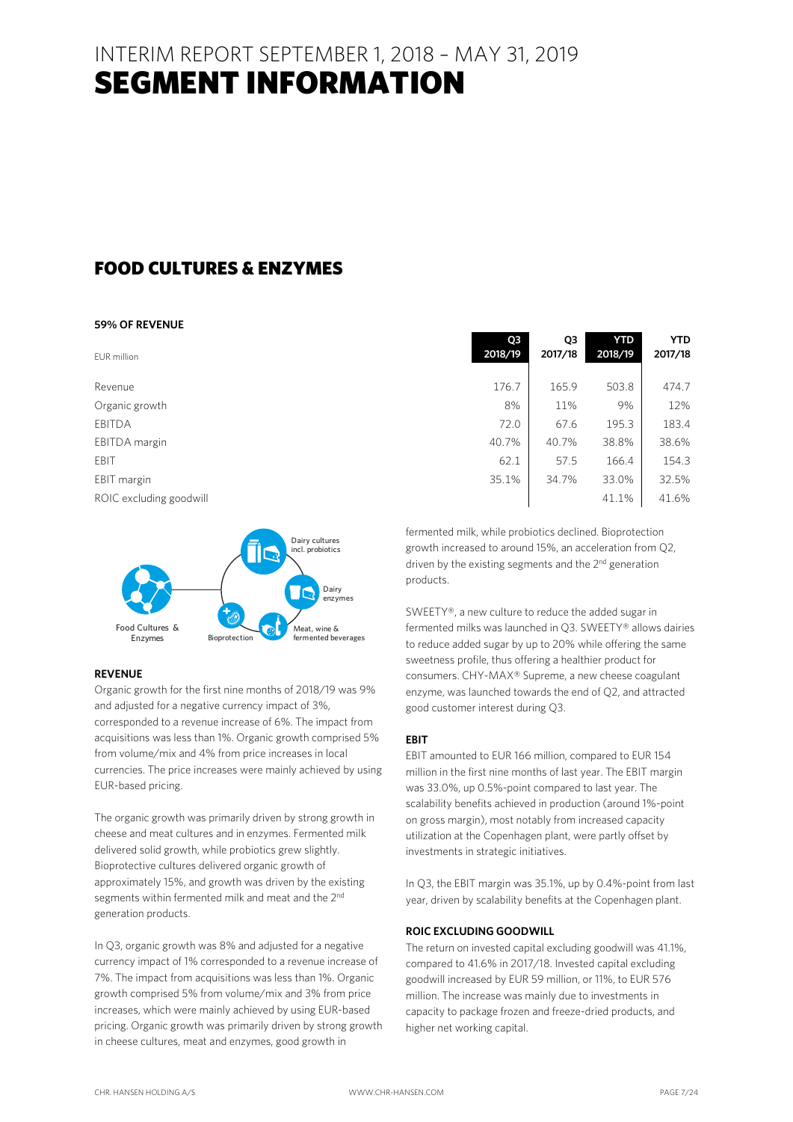### INTERIM REPORT SEPTEMBER 1, 2018 – MAY 31, 2019 SEGMENT INFORMATION

### FOOD CULTURES & ENZYMES

#### **59% OF REVENUE**

| EUR million             | Q3<br>2018/19 | Q <sub>3</sub><br>2017/18 | YTD<br>2018/19 | <b>YTD</b><br>2017/18 |
|-------------------------|---------------|---------------------------|----------------|-----------------------|
| Revenue                 | 176.7         | 165.9                     | 503.8          | 474.7                 |
| Organic growth          | 8%            | 11%                       | 9%             | 12%                   |
| <b>EBITDA</b>           | 72.0          | 67.6                      | 195.3          | 183.4                 |
| EBITDA margin           | 40.7%         | 40.7%                     | 38.8%          | 38.6%                 |
| EBIT                    | 62.1          | 57.5                      | 166.4          | 154.3                 |
| EBIT margin             | 35.1%         | 34.7%                     | 33.0%          | 32.5%                 |
| ROIC excluding goodwill |               |                           | 41.1%          | 41.6%                 |

Dairy cultures incl. probiotics

Meat, wine &

Bioprotection fermented beverages

Dairy enzymes



SWEETY®, a new culture to reduce the added sugar in fermented milks was launched in Q3. SWEETY® allows dairies to reduce added sugar by up to 20% while offering the same sweetness profile, thus offering a healthier product for consumers. CHY-MAX® Supreme, a new cheese coagulant enzyme, was launched towards the end of Q2, and attracted good customer interest during Q3.

#### **EBIT**

EBIT amounted to EUR 166 million, compared to EUR 154 million in the first nine months of last year. The EBIT margin was 33.0%, up 0.5%-point compared to last year. The scalability benefits achieved in production (around 1%-point on gross margin), most notably from increased capacity utilization at the Copenhagen plant, were partly offset by investments in strategic initiatives.

In Q3, the EBIT margin was 35.1%, up by 0.4%-point from last year, driven by scalability benefits at the Copenhagen plant.

#### **ROIC EXCLUDING GOODWILL**

The return on invested capital excluding goodwill was 41.1%, compared to 41.6% in 2017/18. Invested capital excluding goodwill increased by EUR 59 million, or 11%, to EUR 576 million. The increase was mainly due to investments in capacity to package frozen and freeze-dried products, and higher net working capital.

Food Cultures & Enzymes

#### **REVENUE**

Organic growth for the first nine months of 2018/19 was 9% and adjusted for a negative currency impact of 3%, corresponded to a revenue increase of 6%. The impact from acquisitions was less than 1%. Organic growth comprised 5% from volume/mix and 4% from price increases in local currencies. The price increases were mainly achieved by using EUR-based pricing.

The organic growth was primarily driven by strong growth in cheese and meat cultures and in enzymes. Fermented milk delivered solid growth, while probiotics grew slightly. Bioprotective cultures delivered organic growth of approximately 15%, and growth was driven by the existing segments within fermented milk and meat and the 2<sup>nd</sup> generation products.

In Q3, organic growth was 8% and adjusted for a negative currency impact of 1% corresponded to a revenue increase of 7%. The impact from acquisitions was less than 1%. Organic growth comprised 5% from volume/mix and 3% from price increases, which were mainly achieved by using EUR-based pricing. Organic growth was primarily driven by strong growth in cheese cultures, meat and enzymes, good growth in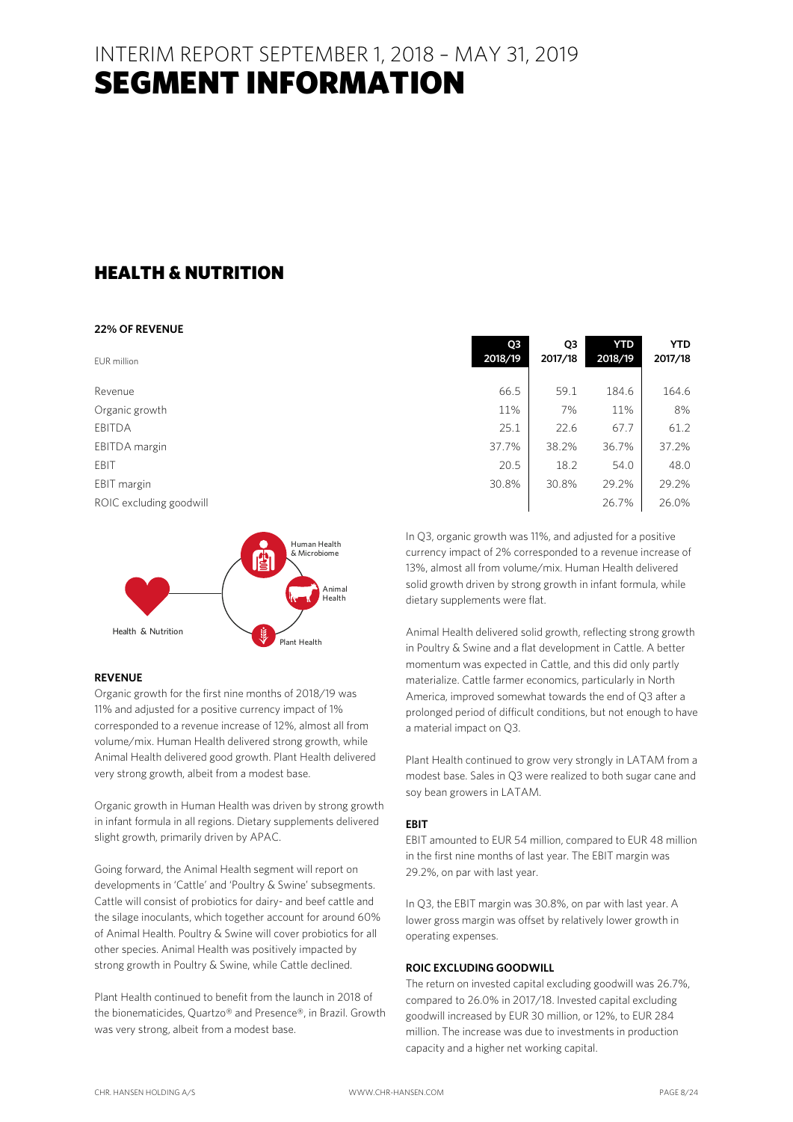## INTERIM REPORT SEPTEMBER 1, 2018 – MAY 31, 2019 SEGMENT INFORMATION

### HEALTH & NUTRITION

#### **22% OF REVENUE**

| EUR million             | Q3<br>2018/19 | Q3<br>2017/18 | <b>YTD</b><br>2018/19 | <b>YTD</b><br>2017/18 |
|-------------------------|---------------|---------------|-----------------------|-----------------------|
| Revenue                 | 66.5          | 59.1          | 184.6                 | 164.6                 |
| Organic growth          | 11%           | 7%            | 11%                   | 8%                    |
| EBITDA                  | 25.1          | 22.6          | 67.7                  | 61.2                  |
| EBITDA margin           | 37.7%         | 38.2%         | 36.7%                 | 37.2%                 |
| EBIT                    | 20.5          | 18.2          | 54.0                  | 48.0                  |
| EBIT margin             | 30.8%         | 30.8%         | 29.2%                 | 29.2%                 |
| ROIC excluding goodwill |               |               | 26.7%                 | 26.0%                 |



#### **REVENUE**

Organic growth for the first nine months of 2018/19 was 11% and adjusted for a positive currency impact of 1% corresponded to a revenue increase of 12%, almost all from volume/mix. Human Health delivered strong growth, while Animal Health delivered good growth. Plant Health delivered very strong growth, albeit from a modest base.

Organic growth in Human Health was driven by strong growth in infant formula in all regions. Dietary supplements delivered slight growth, primarily driven by APAC.

Going forward, the Animal Health segment will report on developments in 'Cattle' and 'Poultry & Swine' subsegments. Cattle will consist of probiotics for dairy- and beef cattle and the silage inoculants, which together account for around 60% of Animal Health. Poultry & Swine will cover probiotics for all other species. Animal Health was positively impacted by strong growth in Poultry & Swine, while Cattle declined.

Plant Health continued to benefit from the launch in 2018 of the bionematicides, Quartzo® and Presence®, in Brazil. Growth was very strong, albeit from a modest base.

| 11%                                                                                    | 7%    | 11%   | 8%    |  |  |  |  |
|----------------------------------------------------------------------------------------|-------|-------|-------|--|--|--|--|
| 25.1                                                                                   | 22.6  | 67.7  | 61.2  |  |  |  |  |
| 37.7%                                                                                  | 38.2% | 36.7% | 37.2% |  |  |  |  |
| 20.5                                                                                   | 18.2  | 54.0  | 48.0  |  |  |  |  |
| 30.8%                                                                                  | 30.8% | 29.2% | 29.2% |  |  |  |  |
|                                                                                        |       | 26.7% | 26.0% |  |  |  |  |
| In Q3, organic growth was 11%, and adjusted for a positive                             |       |       |       |  |  |  |  |
|                                                                                        |       |       |       |  |  |  |  |
| currency impact of 2% corresponded to a revenue increase of                            |       |       |       |  |  |  |  |
| المستحدث والمالية والمالوسية والمستحدث والمستحدث والمستحدث والمستحدث والمسالون والإفاق |       |       |       |  |  |  |  |

currency impact of 2% corresponded to a revenue increase of 13%, almost all from volume/mix. Human Health delivered solid growth driven by strong growth in infant formula, while dietary supplements were flat.

Animal Health delivered solid growth, reflecting strong growth in Poultry & Swine and a flat development in Cattle. A better momentum was expected in Cattle, and this did only partly materialize. Cattle farmer economics, particularly in North America, improved somewhat towards the end of Q3 after a prolonged period of difficult conditions, but not enough to have a material impact on Q3.

Plant Health continued to grow very strongly in LATAM from a modest base. Sales in Q3 were realized to both sugar cane and soy bean growers in LATAM.

#### **EBIT**

EBIT amounted to EUR 54 million, compared to EUR 48 million in the first nine months of last year. The EBIT margin was 29.2%, on par with last year.

In Q3, the EBIT margin was 30.8%, on par with last year. A lower gross margin was offset by relatively lower growth in operating expenses.

#### **ROIC EXCLUDING GOODWILL**

The return on invested capital excluding goodwill was 26.7%, compared to 26.0% in 2017/18. Invested capital excluding goodwill increased by EUR 30 million, or 12%, to EUR 284 million. The increase was due to investments in production capacity and a higher net working capital.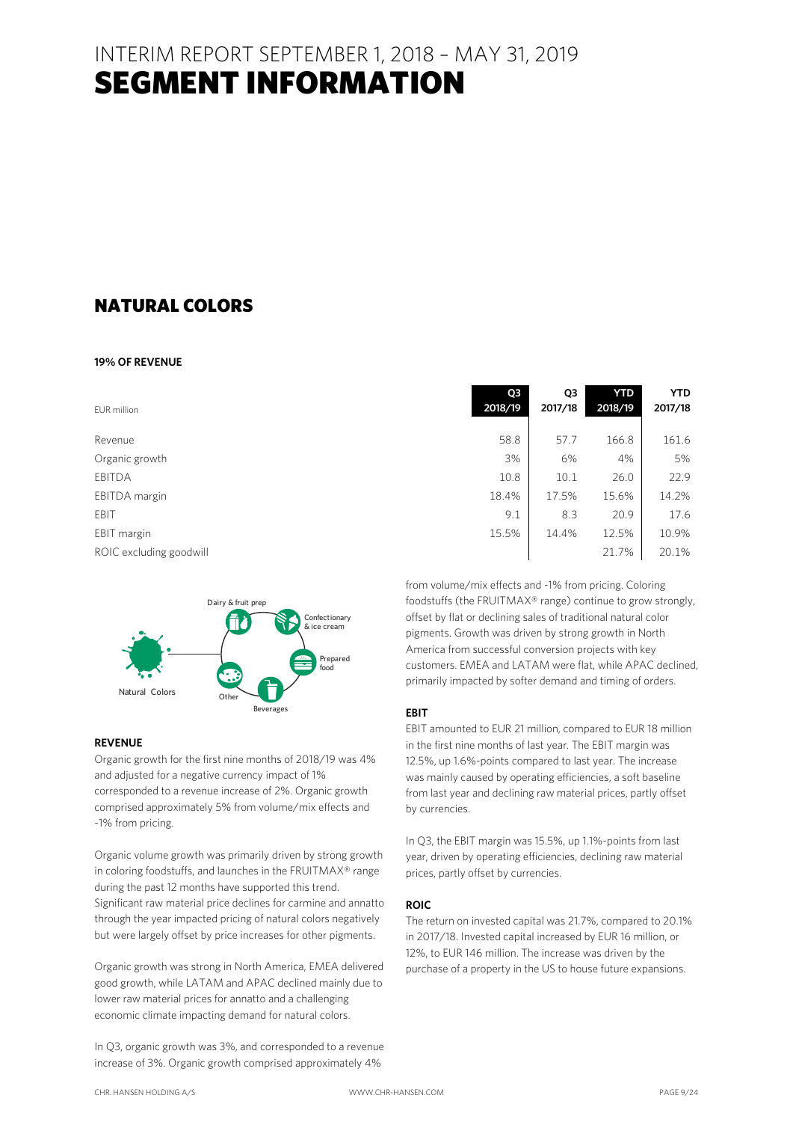### INTERIM REPORT SEPTEMBER 1, 2018 – MAY 31, 2019 SEGMENT INFORMATION

### NATURAL COLORS

#### **19% OF REVENUE**

| EUR million             | Q <sub>3</sub><br>2018/19 | Q3<br>2017/18 | <b>YTD</b><br>2018/19 | <b>YTD</b><br>2017/18 |
|-------------------------|---------------------------|---------------|-----------------------|-----------------------|
| Revenue                 | 58.8                      | 57.7          | 166.8                 | 161.6                 |
| Organic growth          | 3%                        | 6%            | 4%                    | 5%                    |
| <b>EBITDA</b>           | 10.8                      | 10.1          | 26.0                  | 22.9                  |
| EBITDA margin           | 18.4%                     | 17.5%         | 15.6%                 | 14.2%                 |
| EBIT                    | 9.1                       | 8.3           | 20.9                  | 17.6                  |
| EBIT margin             | 15.5%                     | 14.4%         | 12.5%                 | 10.9%                 |
| ROIC excluding goodwill |                           |               | 21.7%                 | 20.1%                 |



#### **REVENUE**

Organic growth for the first nine months of 2018/19 was 4% and adjusted for a negative currency impact of 1% corresponded to a revenue increase of 2%. Organic growth comprised approximately 5% from volume/mix effects and -1% from pricing.

Organic volume growth was primarily driven by strong growth in coloring foodstuffs, and launches in the FRUITMAX® range during the past 12 months have supported this trend. Significant raw material price declines for carmine and annatto through the year impacted pricing of natural colors negatively but were largely offset by price increases for other pigments.

Organic growth was strong in North America, EMEA delivered good growth, while LATAM and APAC declined mainly due to lower raw material prices for annatto and a challenging economic climate impacting demand for natural colors.

In Q3, organic growth was 3%, and corresponded to a revenue increase of 3%. Organic growth comprised approximately 4%

from volume/mix effects and -1% from pricing. Coloring foodstuffs (the FRUITMAX® range) continue to grow strongly, offset by flat or declining sales of traditional natural color pigments. Growth was driven by strong growth in North America from successful conversion projects with key customers. EMEA and LATAM were flat, while APAC declined, primarily impacted by softer demand and timing of orders.

#### **EBIT**

EBIT amounted to EUR 21 million, compared to EUR 18 million in the first nine months of last year. The EBIT margin was 12.5%, up 1.6%-points compared to last year. The increase was mainly caused by operating efficiencies, a soft baseline from last year and declining raw material prices, partly offset by currencies.

In Q3, the EBIT margin was 15.5%, up 1.1%-points from last year, driven by operating efficiencies, declining raw material prices, partly offset by currencies.

#### **ROIC**

The return on invested capital was 21.7%, compared to 20.1% in 2017/18. Invested capital increased by EUR 16 million, or 12%, to EUR 146 million. The increase was driven by the purchase of a property in the US to house future expansions.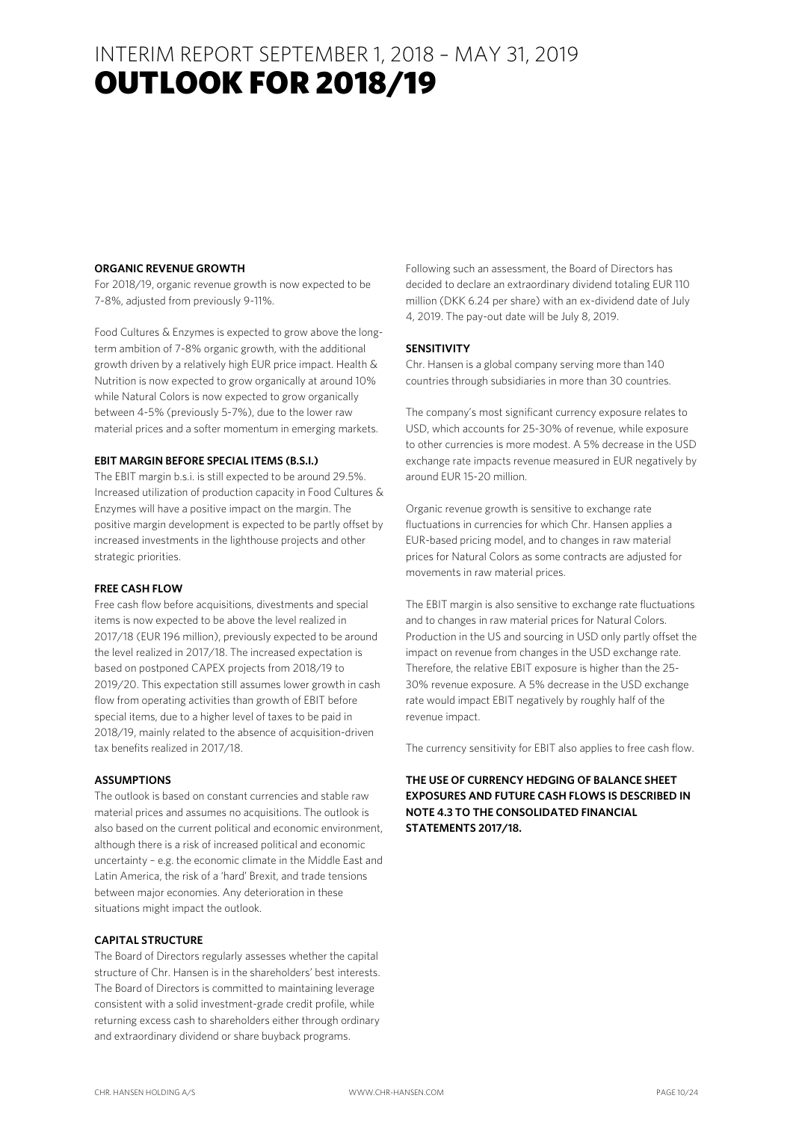### INTERIM REPORT SEPTEMBER 1, 2018 – MAY 31, 2019 OUTLOOK FOR 2018/19

#### **ORGANIC REVENUE GROWTH**

For 2018/19, organic revenue growth is now expected to be 7-8%, adjusted from previously 9-11%.

Food Cultures & Enzymes is expected to grow above the longterm ambition of 7-8% organic growth, with the additional growth driven by a relatively high EUR price impact. Health & Nutrition is now expected to grow organically at around 10% while Natural Colors is now expected to grow organically between 4-5% (previously 5-7%), due to the lower raw material prices and a softer momentum in emerging markets.

#### **EBIT MARGIN BEFORE SPECIAL ITEMS (B.S.I.)**

The EBIT margin b.s.i. is still expected to be around 29.5%. Increased utilization of production capacity in Food Cultures & Enzymes will have a positive impact on the margin. The positive margin development is expected to be partly offset by increased investments in the lighthouse projects and other strategic priorities.

#### **FREE CASH FLOW**

Free cash flow before acquisitions, divestments and special items is now expected to be above the level realized in 2017/18 (EUR 196 million), previously expected to be around the level realized in 2017/18. The increased expectation is based on postponed CAPEX projects from 2018/19 to 2019/20. This expectation still assumes lower growth in cash flow from operating activities than growth of EBIT before special items, due to a higher level of taxes to be paid in 2018/19, mainly related to the absence of acquisition-driven tax benefits realized in 2017/18.

#### **ASSUMPTIONS**

The outlook is based on constant currencies and stable raw material prices and assumes no acquisitions. The outlook is also based on the current political and economic environment, although there is a risk of increased political and economic uncertainty – e.g. the economic climate in the Middle East and Latin America, the risk of a 'hard' Brexit, and trade tensions between major economies. Any deterioration in these situations might impact the outlook.

#### **CAPITAL STRUCTURE**

The Board of Directors regularly assesses whether the capital structure of Chr. Hansen is in the shareholders' best interests. The Board of Directors is committed to maintaining leverage consistent with a solid investment-grade credit profile, while returning excess cash to shareholders either through ordinary and extraordinary dividend or share buyback programs.

Following such an assessment, the Board of Directors has decided to declare an extraordinary dividend totaling EUR 110 million (DKK 6.24 per share) with an ex-dividend date of July 4, 2019. The pay-out date will be July 8, 2019.

#### **SENSITIVITY**

Chr. Hansen is a global company serving more than 140 countries through subsidiaries in more than 30 countries.

The company's most significant currency exposure relates to USD, which accounts for 25-30% of revenue, while exposure to other currencies is more modest. A 5% decrease in the USD exchange rate impacts revenue measured in EUR negatively by around EUR 15-20 million.

Organic revenue growth is sensitive to exchange rate fluctuations in currencies for which Chr. Hansen applies a EUR-based pricing model, and to changes in raw material prices for Natural Colors as some contracts are adjusted for movements in raw material prices.

The EBIT margin is also sensitive to exchange rate fluctuations and to changes in raw material prices for Natural Colors. Production in the US and sourcing in USD only partly offset the impact on revenue from changes in the USD exchange rate. Therefore, the relative EBIT exposure is higher than the 25- 30% revenue exposure. A 5% decrease in the USD exchange rate would impact EBIT negatively by roughly half of the revenue impact.

The currency sensitivity for EBIT also applies to free cash flow.

#### **THE USE OF CURRENCY HEDGING OF BALANCE SHEET EXPOSURES AND FUTURE CASH FLOWS IS DESCRIBED IN NOTE 4.3 TO THE CONSOLIDATED FINANCIAL STATEMENTS 2017/18.**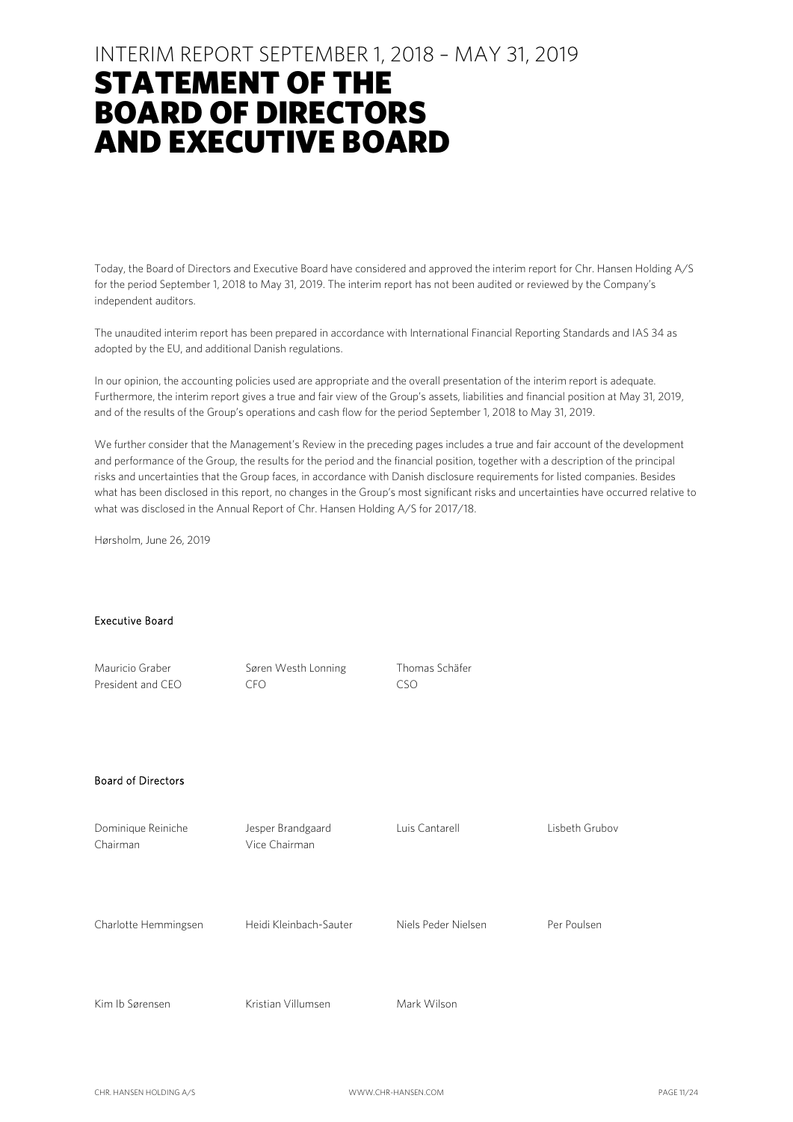### INTERIM REPORT SEPTEMBER 1, 2018 – MAY 31, 2019

## STATEMENT OF THE BOARD OF DIRECTORS AND EXECUTIVE BOARD

Today, the Board of Directors and Executive Board have considered and approved the interim report for Chr. Hansen Holding A/S for the period September 1, 2018 to May 31, 2019. The interim report has not been audited or reviewed by the Company's independent auditors.

The unaudited interim report has been prepared in accordance with International Financial Reporting Standards and IAS 34 as adopted by the EU, and additional Danish regulations.

In our opinion, the accounting policies used are appropriate and the overall presentation of the interim report is adequate. Furthermore, the interim report gives a true and fair view of the Group's assets, liabilities and financial position at May 31, 2019, and of the results of the Group's operations and cash flow for the period September 1, 2018 to May 31, 2019.

We further consider that the Management's Review in the preceding pages includes a true and fair account of the development and performance of the Group, the results for the period and the financial position, together with a description of the principal risks and uncertainties that the Group faces, in accordance with Danish disclosure requirements for listed companies. Besides what has been disclosed in this report, no changes in the Group's most significant risks and uncertainties have occurred relative to what was disclosed in the Annual Report of Chr. Hansen Holding A/S for 2017/18.

Hørsholm, June 26, 2019

#### Executive Board

| Mauricio Graber<br>President and CEO | Søren Westh Lonning<br><b>CFO</b>  | Thomas Schäfer<br><b>CSO</b> |                |
|--------------------------------------|------------------------------------|------------------------------|----------------|
| <b>Board of Directors</b>            |                                    |                              |                |
| Dominique Reiniche<br>Chairman       | Jesper Brandgaard<br>Vice Chairman | Luis Cantarell               | Lisbeth Grubov |
| Charlotte Hemmingsen                 | Heidi Kleinbach-Sauter             | Niels Peder Nielsen          | Per Poulsen    |
| Kim Ib Sørensen                      | Kristian Villumsen                 | Mark Wilson                  |                |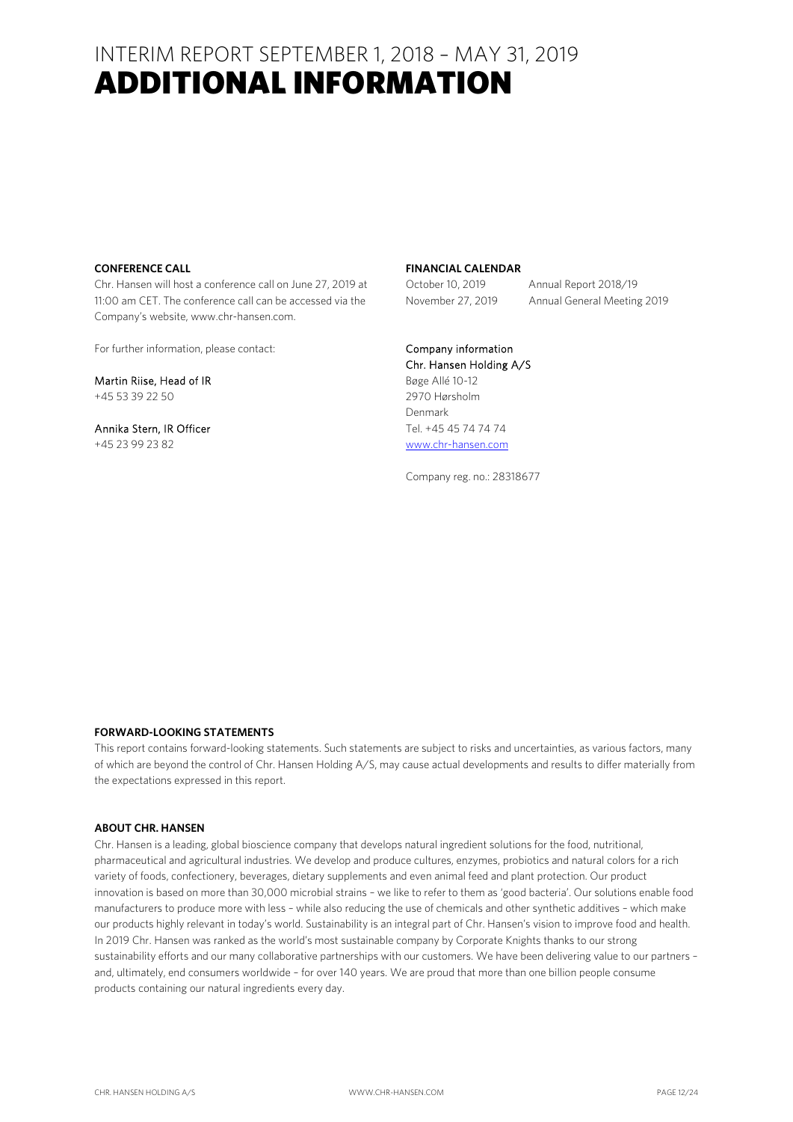### INTERIM REPORT SEPTEMBER 1, 2018 – MAY 31, 2019 ADDITIONAL INFORMATION

#### **CONFERENCE CALL**

Chr. Hansen will host a conference call on June 27, 2019 at 11:00 am CET. The conference call can be accessed via the Company's website, www.chr-hansen.com.

For further information, please contact:

Martin Riise, Head of IR +45 53 39 22 50

Annika Stern, IR Officer +45 23 99 23 82

#### **FINANCIAL CALENDAR**

October 10, 2019 Annual Report 2018/19 November 27, 2019 Annual General Meeting 2019

### Company information

Chr. Hansen Holding A/S Bøge Allé 10-12 2970 Hørsholm Denmark Tel. +45 45 74 74 74 www.chr-hansen.com

Company reg. no.: 28318677

#### **FORWARD-LOOKING STATEMENTS**

This report contains forward-looking statements. Such statements are subject to risks and uncertainties, as various factors, many of which are beyond the control of Chr. Hansen Holding A/S, may cause actual developments and results to differ materially from the expectations expressed in this report.

#### **ABOUT CHR. HANSEN**

Chr. Hansen is a leading, global bioscience company that develops natural ingredient solutions for the food, nutritional, pharmaceutical and agricultural industries. We develop and produce cultures, enzymes, probiotics and natural colors for a rich variety of foods, confectionery, beverages, dietary supplements and even animal feed and plant protection. Our product innovation is based on more than 30,000 microbial strains – we like to refer to them as 'good bacteria'. Our solutions enable food manufacturers to produce more with less – while also reducing the use of chemicals and other synthetic additives – which make our products highly relevant in today's world. Sustainability is an integral part of Chr. Hansen's vision to improve food and health. In 2019 Chr. Hansen was ranked as the world's most sustainable company by Corporate Knights thanks to our strong sustainability efforts and our many collaborative partnerships with our customers. We have been delivering value to our partners – and, ultimately, end consumers worldwide – for over 140 years. We are proud that more than one billion people consume products containing our natural ingredients every day.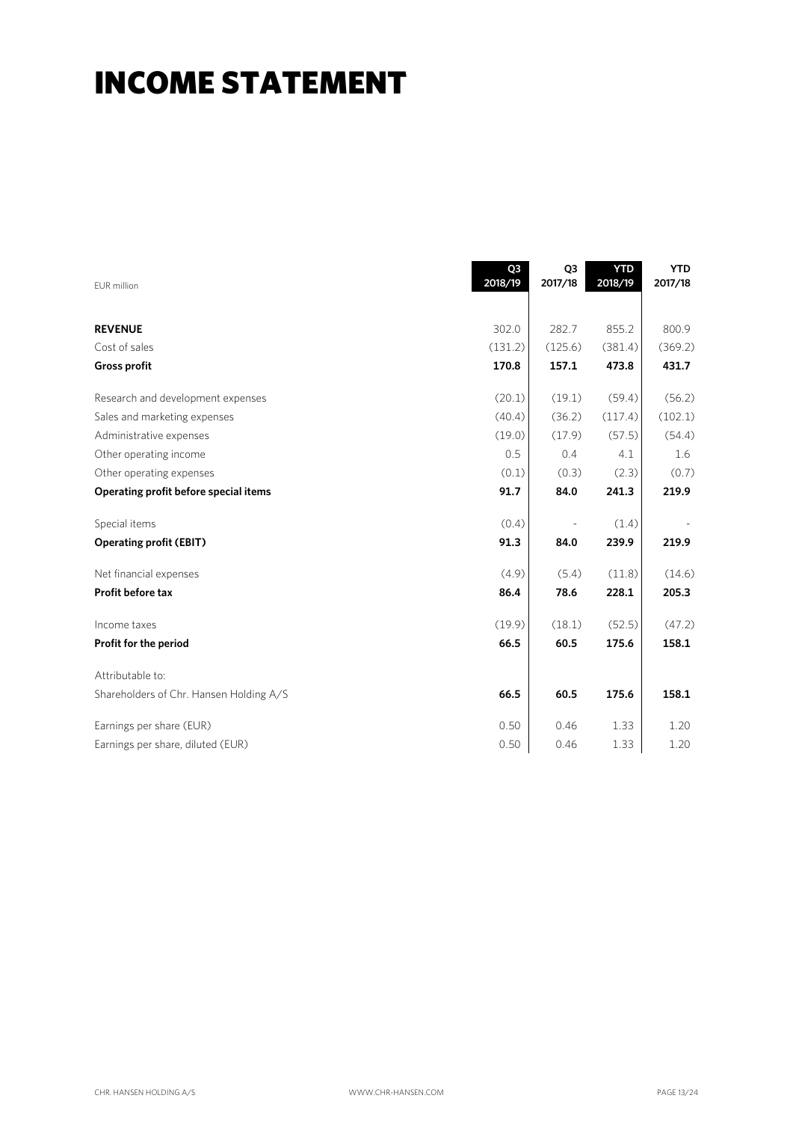## INCOME STATEMENT

| <b>EUR</b> million                      | Q3<br>2018/19 | Q <sub>3</sub><br>2017/18 | <b>YTD</b><br>2018/19 | <b>YTD</b><br>2017/18 |
|-----------------------------------------|---------------|---------------------------|-----------------------|-----------------------|
| <b>REVENUE</b>                          | 302.0         | 282.7                     | 855.2                 | 800.9                 |
| Cost of sales                           | (131.2)       | (125.6)                   | (381.4)               | (369.2)               |
| <b>Gross profit</b>                     | 170.8         | 157.1                     | 473.8                 | 431.7                 |
| Research and development expenses       | (20.1)        | (19.1)                    | (59.4)                | (56.2)                |
| Sales and marketing expenses            | (40.4)        | (36.2)                    | (117.4)               | (102.1)               |
| Administrative expenses                 | (19.0)        | (17.9)                    | (57.5)                | (54.4)                |
| Other operating income                  | 0.5           | 0.4                       | 4.1                   | 1.6                   |
| Other operating expenses                | (0.1)         | (0.3)                     | (2.3)                 | (0.7)                 |
| Operating profit before special items   | 91.7          | 84.0                      | 241.3                 | 219.9                 |
| Special items                           | (0.4)         |                           | (1.4)                 |                       |
| <b>Operating profit (EBIT)</b>          | 91.3          | 84.0                      | 239.9                 | 219.9                 |
| Net financial expenses                  | (4.9)         | (5.4)                     | (11.8)                | (14.6)                |
| Profit before tax                       | 86.4          | 78.6                      | 228.1                 | 205.3                 |
| Income taxes                            | (19.9)        | (18.1)                    | (52.5)                | (47.2)                |
| Profit for the period                   | 66.5          | 60.5                      | 175.6                 | 158.1                 |
| Attributable to:                        |               |                           |                       |                       |
| Shareholders of Chr. Hansen Holding A/S | 66.5          | 60.5                      | 175.6                 | 158.1                 |
| Earnings per share (EUR)                | 0.50          | 0.46                      | 1.33                  | 1.20                  |
| Earnings per share, diluted (EUR)       | 0.50          | 0.46                      | 1.33                  | 1.20                  |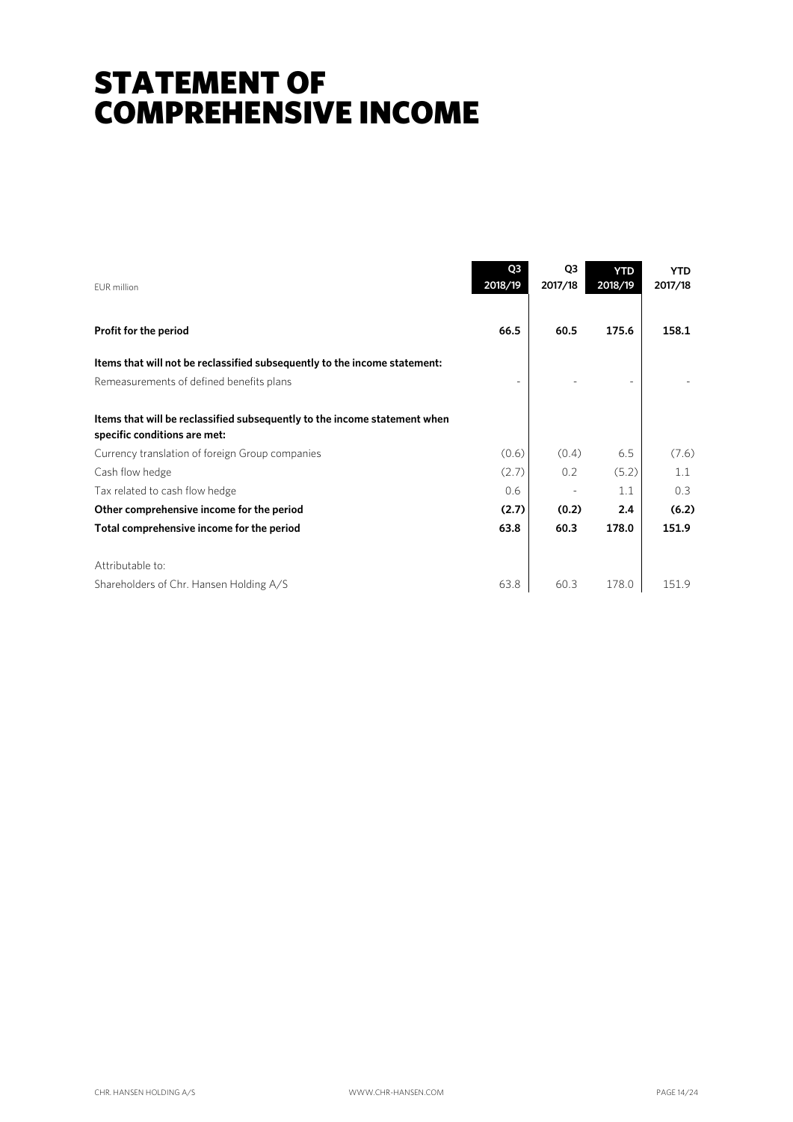## STATEMENT OF COMPREHENSIVE INCOME

| FUR million                                                                                               | Q <sub>3</sub><br>2018/19 | Q <sub>3</sub><br>2017/18 | <b>YTD</b><br>2018/19 | <b>YTD</b><br>2017/18 |
|-----------------------------------------------------------------------------------------------------------|---------------------------|---------------------------|-----------------------|-----------------------|
| Profit for the period                                                                                     | 66.5                      | 60.5                      | 175.6                 | 158.1                 |
| Items that will not be reclassified subsequently to the income statement:                                 |                           |                           |                       |                       |
| Remeasurements of defined benefits plans                                                                  |                           |                           |                       |                       |
| Items that will be reclassified subsequently to the income statement when<br>specific conditions are met: |                           |                           |                       |                       |
| Currency translation of foreign Group companies                                                           | (0.6)                     | (0.4)                     | 6.5                   | (7.6)                 |
| Cash flow hedge                                                                                           | (2.7)                     | 0.2                       | (5.2)                 | 1.1                   |
| Tax related to cash flow hedge                                                                            | 0.6                       |                           | 1.1                   | 0.3                   |
| Other comprehensive income for the period                                                                 | (2.7)                     | (0.2)                     | 2.4                   | (6.2)                 |
| Total comprehensive income for the period                                                                 | 63.8                      | 60.3                      | 178.0                 | 151.9                 |
| Attributable to:                                                                                          |                           |                           |                       |                       |
| Shareholders of Chr. Hansen Holding A/S                                                                   | 63.8                      | 60.3                      | 178.0                 | 151.9                 |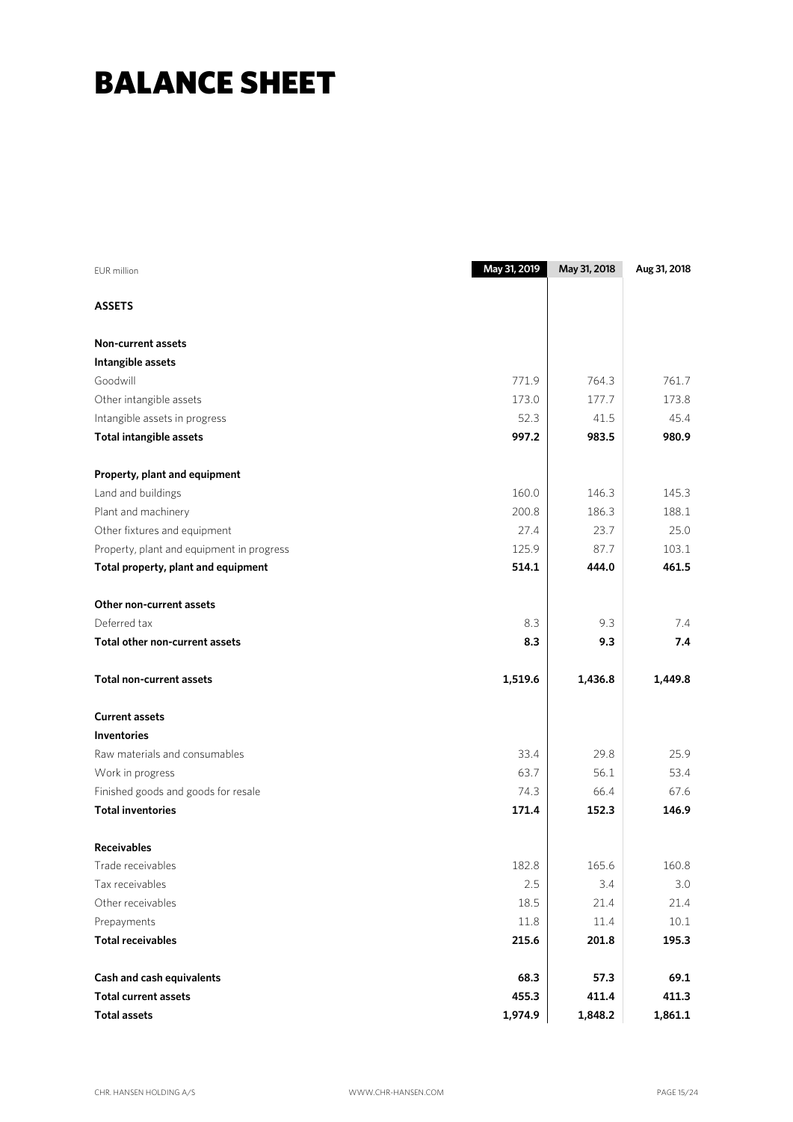## BALANCE SHEET

| <b>EUR</b> million                        | May 31, 2019 | May 31, 2018 | Aug 31, 2018 |
|-------------------------------------------|--------------|--------------|--------------|
| <b>ASSETS</b>                             |              |              |              |
| <b>Non-current assets</b>                 |              |              |              |
| Intangible assets                         |              |              |              |
| Goodwill                                  | 771.9        | 764.3        | 761.7        |
| Other intangible assets                   | 173.0        | 177.7        | 173.8        |
| Intangible assets in progress             | 52.3         | 41.5         | 45.4         |
| <b>Total intangible assets</b>            | 997.2        | 983.5        | 980.9        |
| Property, plant and equipment             |              |              |              |
| Land and buildings                        | 160.0        | 146.3        | 145.3        |
| Plant and machinery                       | 200.8        | 186.3        | 188.1        |
| Other fixtures and equipment              | 27.4         | 23.7         | 25.0         |
| Property, plant and equipment in progress | 125.9        | 87.7         | 103.1        |
| Total property, plant and equipment       | 514.1        | 444.0        | 461.5        |
| Other non-current assets                  |              |              |              |
| Deferred tax                              | 8.3          | 9.3          | 7.4          |
| Total other non-current assets            | 8.3          | 9.3          | 7.4          |
| <b>Total non-current assets</b>           | 1,519.6      | 1,436.8      | 1,449.8      |
| <b>Current assets</b>                     |              |              |              |
| <b>Inventories</b>                        |              |              |              |
| Raw materials and consumables             | 33.4         | 29.8         | 25.9         |
| Work in progress                          | 63.7         | 56.1         | 53.4         |
| Finished goods and goods for resale       | 74.3         | 66.4         | 67.6         |
| <b>Total inventories</b>                  | 171.4        | 152.3        | 146.9        |
| <b>Receivables</b>                        |              |              |              |
| Trade receivables                         | 182.8        | 165.6        | 160.8        |
| Tax receivables                           | 2.5          | 3.4          | 3.0          |
| Other receivables                         | 18.5         | 21.4         | 21.4         |
| Prepayments                               | $11.8\,$     | 11.4         | 10.1         |
| <b>Total receivables</b>                  | 215.6        | 201.8        | 195.3        |
| Cash and cash equivalents                 | 68.3         | 57.3         | 69.1         |
| <b>Total current assets</b>               | 455.3        | 411.4        | 411.3        |
| <b>Total assets</b>                       | 1,974.9      | 1,848.2      | 1,861.1      |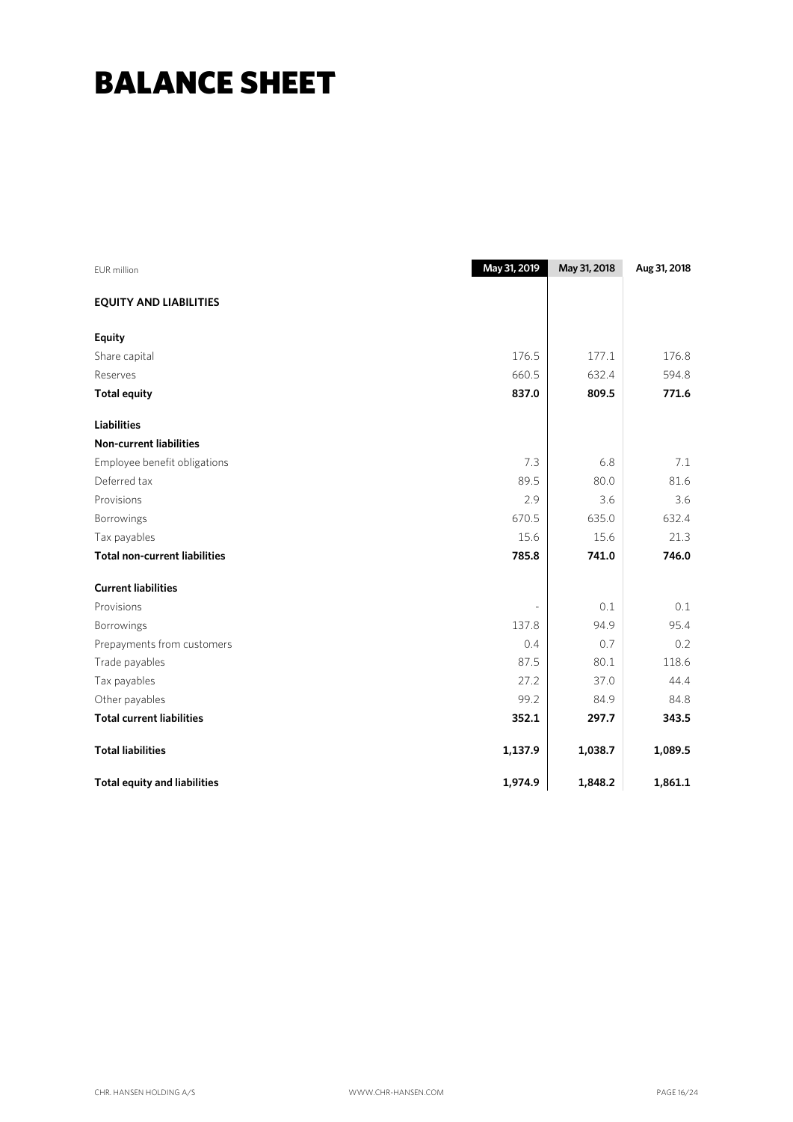## BALANCE SHEET

| EUR million                          | May 31, 2019 | May 31, 2018 | Aug 31, 2018 |
|--------------------------------------|--------------|--------------|--------------|
| <b>EQUITY AND LIABILITIES</b>        |              |              |              |
| <b>Equity</b>                        |              |              |              |
| Share capital                        | 176.5        | 177.1        | 176.8        |
| Reserves                             | 660.5        | 632.4        | 594.8        |
| <b>Total equity</b>                  | 837.0        | 809.5        | 771.6        |
| <b>Liabilities</b>                   |              |              |              |
| <b>Non-current liabilities</b>       |              |              |              |
| Employee benefit obligations         | 7.3          | 6.8          | 7.1          |
| Deferred tax                         | 89.5         | 80.0         | 81.6         |
| Provisions                           | 2.9          | 3.6          | 3.6          |
| Borrowings                           | 670.5        | 635.0        | 632.4        |
| Tax payables                         | 15.6         | 15.6         | 21.3         |
| <b>Total non-current liabilities</b> | 785.8        | 741.0        | 746.0        |
| <b>Current liabilities</b>           |              |              |              |
| Provisions                           |              | 0.1          | 0.1          |
| Borrowings                           | 137.8        | 94.9         | 95.4         |
| Prepayments from customers           | 0.4          | 0.7          | 0.2          |
| Trade payables                       | 87.5         | 80.1         | 118.6        |
| Tax payables                         | 27.2         | 37.0         | 44.4         |
| Other payables                       | 99.2         | 84.9         | 84.8         |
| <b>Total current liabilities</b>     | 352.1        | 297.7        | 343.5        |
| <b>Total liabilities</b>             | 1,137.9      | 1,038.7      | 1,089.5      |
| <b>Total equity and liabilities</b>  | 1,974.9      | 1,848.2      | 1,861.1      |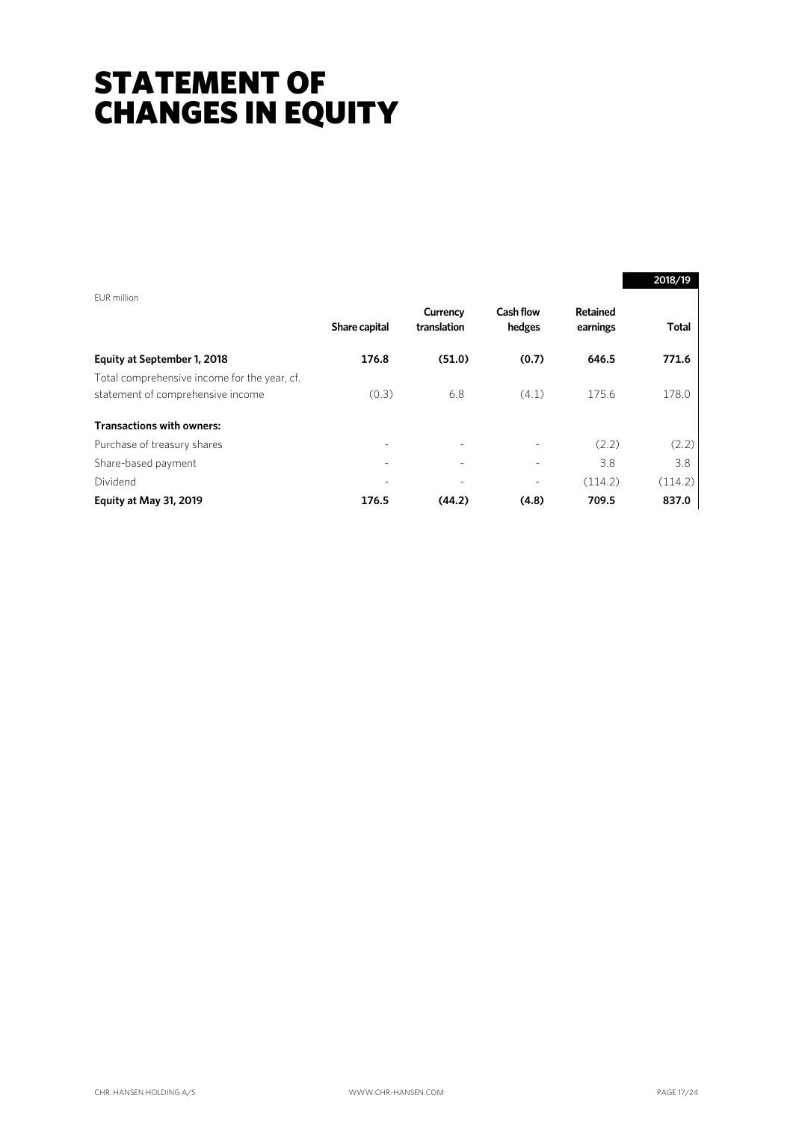## STATEMENT OF CHANGES IN EQUITY

|                                                                                   |                          |                          |                            |                      | 2018/19 |
|-----------------------------------------------------------------------------------|--------------------------|--------------------------|----------------------------|----------------------|---------|
| EUR million                                                                       | Share capital            | Currency<br>translation  | <b>Cash flow</b><br>hedges | Retained<br>earnings | Total   |
| Equity at September 1, 2018                                                       | 176.8                    | (51.0)                   | (0.7)                      | 646.5                | 771.6   |
| Total comprehensive income for the year, cf.<br>statement of comprehensive income | (0.3)                    | 6.8                      | (4.1)                      | 175.6                | 178.0   |
| <b>Transactions with owners:</b>                                                  |                          |                          |                            |                      |         |
| Purchase of treasury shares                                                       | $\overline{\phantom{a}}$ | $\overline{\phantom{0}}$ |                            | (2.2)                | (2.2)   |
| Share-based payment                                                               |                          |                          |                            | 3.8                  | 3.8     |
| Dividend                                                                          |                          |                          |                            | (114.2)              | (114.2) |
| Equity at May 31, 2019                                                            | 176.5                    | (44.2)                   | (4.8)                      | 709.5                | 837.0   |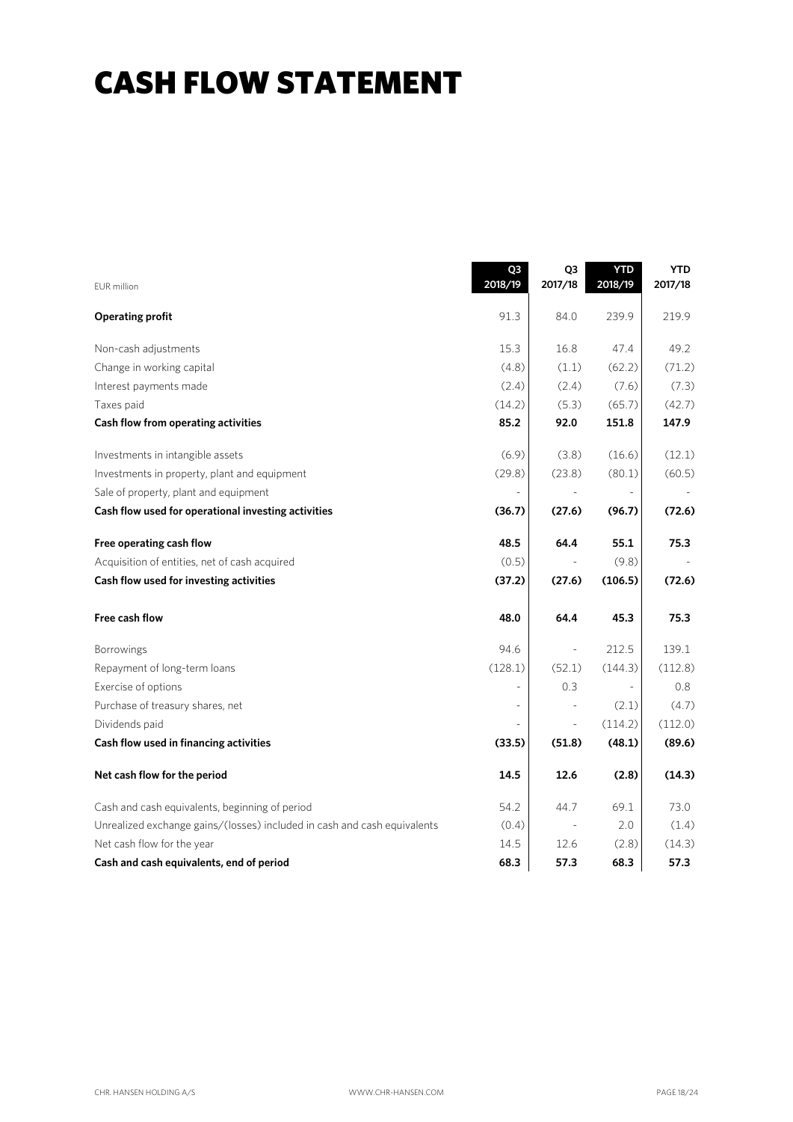## CASH FLOW STATEMENT

| <b>EUR</b> million                                                       | Q <sub>3</sub><br>2018/19 | Q3<br>2017/18            | <b>YTD</b><br>2018/19    | <b>YTD</b><br>2017/18 |
|--------------------------------------------------------------------------|---------------------------|--------------------------|--------------------------|-----------------------|
| <b>Operating profit</b>                                                  | 91.3                      | 84.0                     | 239.9                    | 219.9                 |
| Non-cash adjustments                                                     | 15.3                      | 16.8                     | 47.4                     | 49.2                  |
| Change in working capital                                                | (4.8)                     | (1.1)                    | (62.2)                   | (71.2)                |
| Interest payments made                                                   | (2.4)                     | (2.4)                    | (7.6)                    | (7.3)                 |
| Taxes paid                                                               | (14.2)                    | (5.3)                    | (65.7)                   | (42.7)                |
| Cash flow from operating activities                                      | 85.2                      | 92.0                     | 151.8                    | 147.9                 |
| Investments in intangible assets                                         | (6.9)                     | (3.8)                    | (16.6)                   | (12.1)                |
| Investments in property, plant and equipment                             | (29.8)                    | (23.8)                   | (80.1)                   | (60.5)                |
| Sale of property, plant and equipment                                    | $\overline{\phantom{a}}$  | $\overline{\phantom{a}}$ | $\overline{\phantom{a}}$ |                       |
| Cash flow used for operational investing activities                      | (36.7)                    | (27.6)                   | (96.7)                   | (72.6)                |
| Free operating cash flow                                                 | 48.5                      | 64.4                     | 55.1                     | 75.3                  |
| Acquisition of entities, net of cash acquired                            | (0.5)                     |                          | (9.8)                    |                       |
| Cash flow used for investing activities                                  | (37.2)                    | (27.6)                   | (106.5)                  | (72.6)                |
| Free cash flow                                                           | 48.0                      | 64.4                     | 45.3                     | 75.3                  |
| Borrowings                                                               | 94.6                      | $\Box$                   | 212.5                    | 139.1                 |
| Repayment of long-term loans                                             | (128.1)                   | (52.1)                   | (144.3)                  | (112.8)               |
| Exercise of options                                                      |                           | 0.3                      | $\equiv$                 | 0.8                   |
| Purchase of treasury shares, net                                         | ÷,                        |                          | (2.1)                    | (4.7)                 |
| Dividends paid                                                           |                           |                          | (114.2)                  | (112.0)               |
| Cash flow used in financing activities                                   | (33.5)                    | (51.8)                   | (48.1)                   | (89.6)                |
| Net cash flow for the period                                             | 14.5                      | 12.6                     | (2.8)                    | (14.3)                |
| Cash and cash equivalents, beginning of period                           | 54.2                      | 44.7                     | 69.1                     | 73.0                  |
| Unrealized exchange gains/(losses) included in cash and cash equivalents | (0.4)                     |                          | 2.0                      | (1.4)                 |
| Net cash flow for the year                                               | 14.5                      | 12.6                     | (2.8)                    | (14.3)                |
| Cash and cash equivalents, end of period                                 | 68.3                      | 57.3                     | 68.3                     | 57.3                  |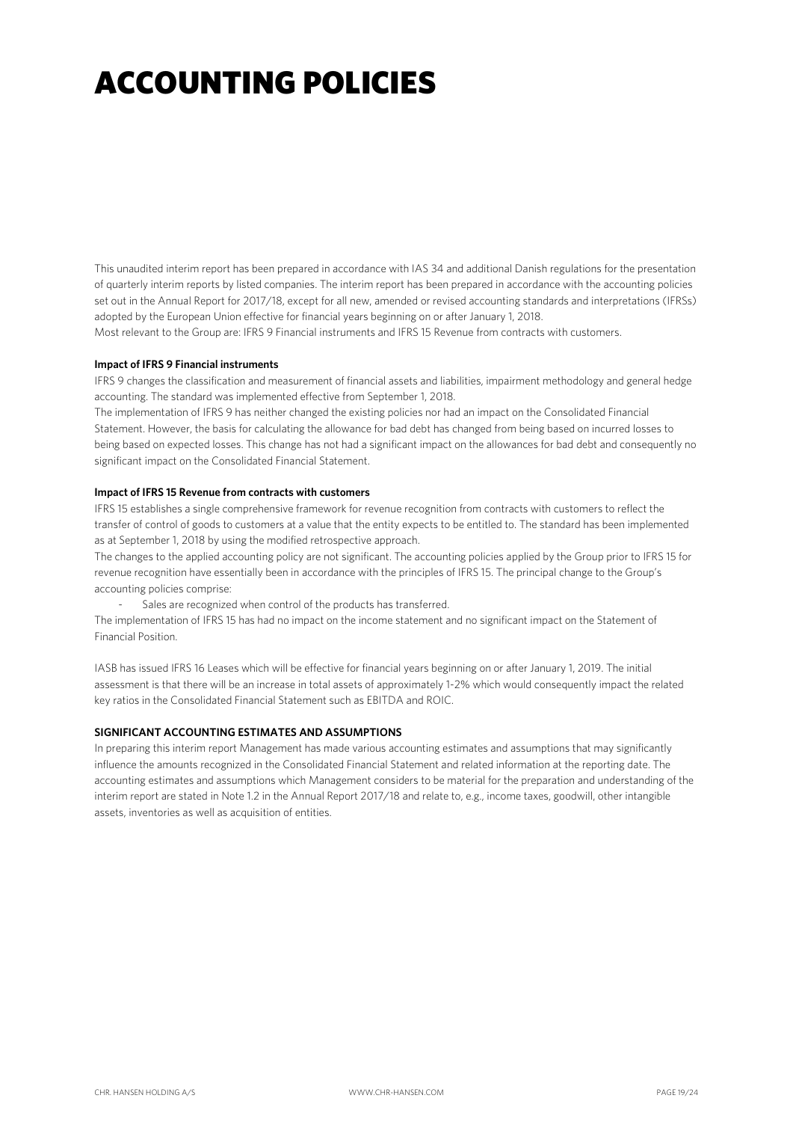# ACCOUNTING POLICIES

This unaudited interim report has been prepared in accordance with IAS 34 and additional Danish regulations for the presentation of quarterly interim reports by listed companies. The interim report has been prepared in accordance with the accounting policies set out in the Annual Report for 2017/18, except for all new, amended or revised accounting standards and interpretations (IFRSs) adopted by the European Union effective for financial years beginning on or after January 1, 2018.

Most relevant to the Group are: IFRS 9 Financial instruments and IFRS 15 Revenue from contracts with customers.

#### **Impact of IFRS 9 Financial instruments**

IFRS 9 changes the classification and measurement of financial assets and liabilities, impairment methodology and general hedge accounting. The standard was implemented effective from September 1, 2018.

The implementation of IFRS 9 has neither changed the existing policies nor had an impact on the Consolidated Financial Statement. However, the basis for calculating the allowance for bad debt has changed from being based on incurred losses to being based on expected losses. This change has not had a significant impact on the allowances for bad debt and consequently no significant impact on the Consolidated Financial Statement.

#### **Impact of IFRS 15 Revenue from contracts with customers**

IFRS 15 establishes a single comprehensive framework for revenue recognition from contracts with customers to reflect the transfer of control of goods to customers at a value that the entity expects to be entitled to. The standard has been implemented as at September 1, 2018 by using the modified retrospective approach.

The changes to the applied accounting policy are not significant. The accounting policies applied by the Group prior to IFRS 15 for revenue recognition have essentially been in accordance with the principles of IFRS 15. The principal change to the Group's accounting policies comprise:

Sales are recognized when control of the products has transferred.

The implementation of IFRS 15 has had no impact on the income statement and no significant impact on the Statement of Financial Position.

IASB has issued IFRS 16 Leases which will be effective for financial years beginning on or after January 1, 2019. The initial assessment is that there will be an increase in total assets of approximately 1-2% which would consequently impact the related key ratios in the Consolidated Financial Statement such as EBITDA and ROIC.

#### **SIGNIFICANT ACCOUNTING ESTIMATES AND ASSUMPTIONS**

In preparing this interim report Management has made various accounting estimates and assumptions that may significantly influence the amounts recognized in the Consolidated Financial Statement and related information at the reporting date. The accounting estimates and assumptions which Management considers to be material for the preparation and understanding of the interim report are stated in Note 1.2 in the Annual Report 2017/18 and relate to, e.g., income taxes, goodwill, other intangible assets, inventories as well as acquisition of entities.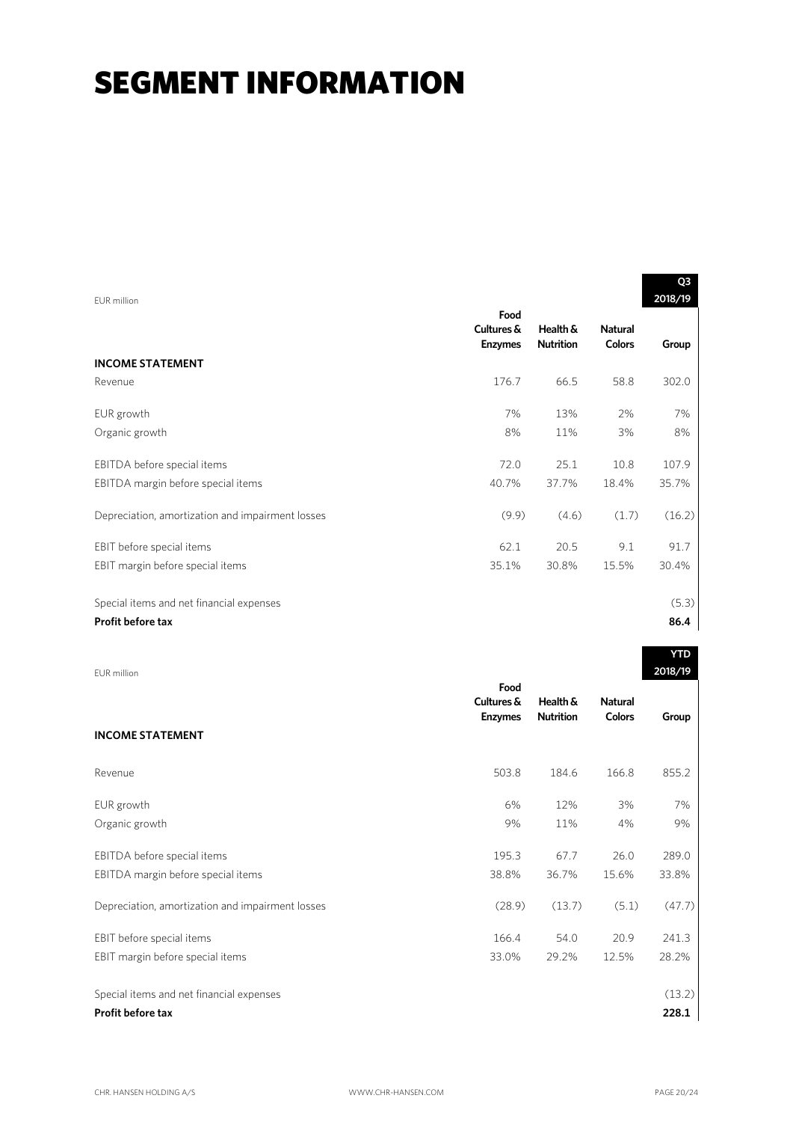| EUR million                                      |                                      |                              |                                 | Q3<br>2018/19 |
|--------------------------------------------------|--------------------------------------|------------------------------|---------------------------------|---------------|
|                                                  | Food<br>Cultures &<br><b>Enzymes</b> | Health &<br><b>Nutrition</b> | <b>Natural</b><br><b>Colors</b> | Group         |
| <b>INCOME STATEMENT</b>                          |                                      |                              |                                 |               |
| Revenue                                          | 176.7                                | 66.5                         | 58.8                            | 302.0         |
| EUR growth                                       | 7%                                   | 13%                          | 2%                              | 7%            |
| Organic growth                                   | 8%                                   | 11%                          | 3%                              | 8%            |
| EBITDA before special items                      | 72.0                                 | 25.1                         | 10.8                            | 107.9         |
| EBITDA margin before special items               | 40.7%                                | 37.7%                        | 18.4%                           | 35.7%         |
| Depreciation, amortization and impairment losses | (9.9)                                | (4.6)                        | (1.7)                           | (16.2)        |
| EBIT before special items                        | 62.1                                 | 20.5                         | 9.1                             | 91.7          |
| EBIT margin before special items                 | 35.1%                                | 30.8%                        | 15.5%                           | 30.4%         |
| Special items and net financial expenses         |                                      |                              |                                 | (5.3)         |
| Profit before tax                                |                                      |                              |                                 | 86.4          |

| EUR million                                      |                                      |                              |                                 | 2018/19 |
|--------------------------------------------------|--------------------------------------|------------------------------|---------------------------------|---------|
| <b>INCOME STATEMENT</b>                          | Food<br>Cultures &<br><b>Enzymes</b> | Health &<br><b>Nutrition</b> | <b>Natural</b><br><b>Colors</b> | Group   |
| Revenue                                          | 503.8                                | 184.6                        | 166.8                           | 855.2   |
| EUR growth                                       | 6%                                   | 12%                          | 3%                              | 7%      |
| Organic growth                                   | 9%                                   | 11%                          | 4%                              | 9%      |
| EBITDA before special items                      | 195.3                                | 67.7                         | 26.0                            | 289.0   |
| EBITDA margin before special items               | 38.8%                                | 36.7%                        | 15.6%                           | 33.8%   |
| Depreciation, amortization and impairment losses | (28.9)                               | (13.7)                       | (5.1)                           | (47.7)  |
| EBIT before special items                        | 166.4                                | 54.0                         | 20.9                            | 241.3   |
| EBIT margin before special items                 | 33.0%                                | 29.2%                        | 12.5%                           | 28.2%   |
| Special items and net financial expenses         |                                      |                              |                                 | (13.2)  |
| <b>Profit before tax</b>                         |                                      |                              |                                 | 228.1   |

**YTD**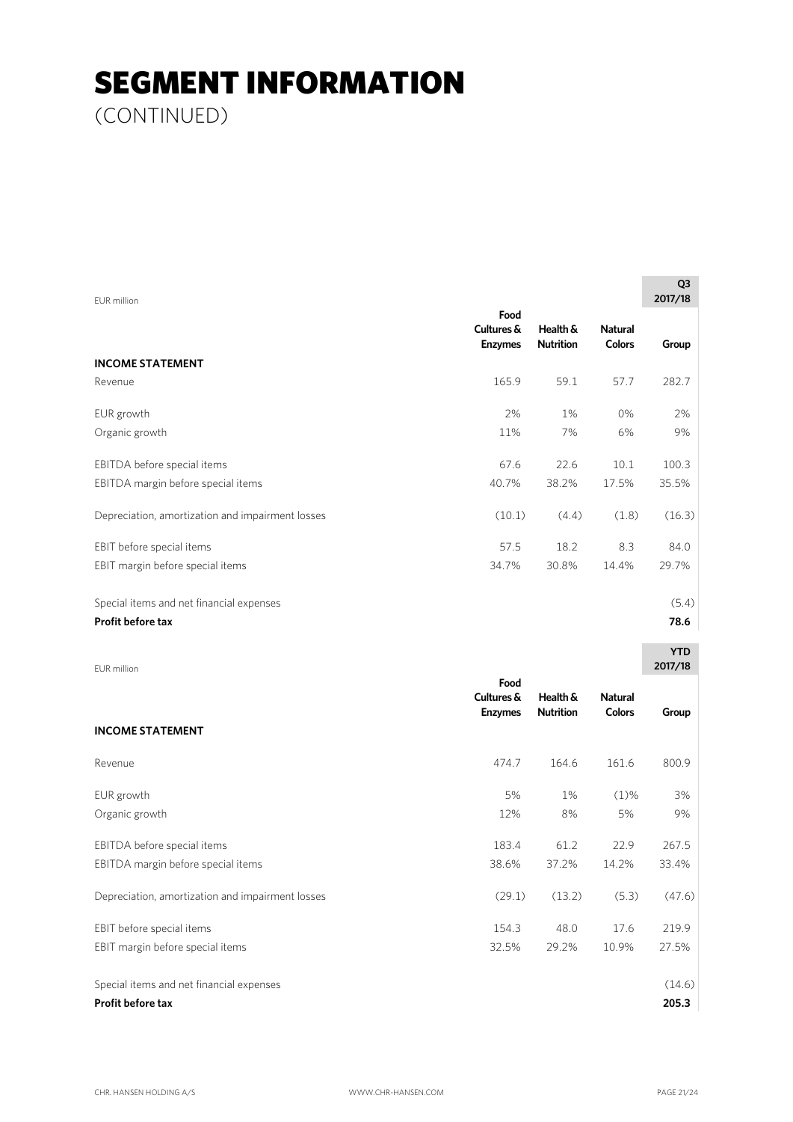(CONTINUED)

| EUR million                                      |                                      |                              |                                 | Q <sub>3</sub><br>2017/18 |
|--------------------------------------------------|--------------------------------------|------------------------------|---------------------------------|---------------------------|
|                                                  | Food<br>Cultures &<br><b>Enzymes</b> | Health &<br><b>Nutrition</b> | <b>Natural</b><br><b>Colors</b> | Group                     |
| <b>INCOME STATEMENT</b>                          |                                      |                              |                                 |                           |
| Revenue                                          | 165.9                                | 59.1                         | 57.7                            | 282.7                     |
| EUR growth                                       | 2%                                   | 1%                           | $0\%$                           | 2%                        |
| Organic growth                                   | 11%                                  | 7%                           | 6%                              | 9%                        |
| EBITDA before special items                      | 67.6                                 | 22.6                         | 10.1                            | 100.3                     |
| EBITDA margin before special items               | 40.7%                                | 38.2%                        | 17.5%                           | 35.5%                     |
| Depreciation, amortization and impairment losses | (10.1)                               | (4.4)                        | (1.8)                           | (16.3)                    |
| EBIT before special items                        | 57.5                                 | 18.2                         | 8.3                             | 84.0                      |
| EBIT margin before special items                 | 34.7%                                | 30.8%                        | 14.4%                           | 29.7%                     |
| Special items and net financial expenses         |                                      |                              |                                 | (5.4)                     |
| Profit before tax                                |                                      |                              |                                 | 78.6                      |
| <b>EUR</b> million                               |                                      |                              |                                 | <b>YTD</b><br>2017/18     |
|                                                  | Food<br>Cultures &<br><b>Enzymes</b> | Health &<br><b>Nutrition</b> | <b>Natural</b><br><b>Colors</b> | Group                     |

| <b>INCOME STATEMENT</b>                          |        |        |         |        |
|--------------------------------------------------|--------|--------|---------|--------|
| Revenue                                          | 474.7  | 164.6  | 161.6   | 800.9  |
| EUR growth                                       | 5%     | 1%     | $(1)\%$ | 3%     |
| Organic growth                                   | 12%    | 8%     | 5%      | 9%     |
| EBITDA before special items                      | 183.4  | 61.2   | 22.9    | 267.5  |
| EBITDA margin before special items               | 38.6%  | 37.2%  | 14.2%   | 33.4%  |
| Depreciation, amortization and impairment losses | (29.1) | (13.2) | (5.3)   | (47.6) |
| EBIT before special items                        | 154.3  | 48.0   | 17.6    | 219.9  |
| EBIT margin before special items                 | 32.5%  | 29.2%  | 10.9%   | 27.5%  |
| Special items and net financial expenses         |        |        |         | (14.6) |
| Profit before tax                                |        |        |         | 205.3  |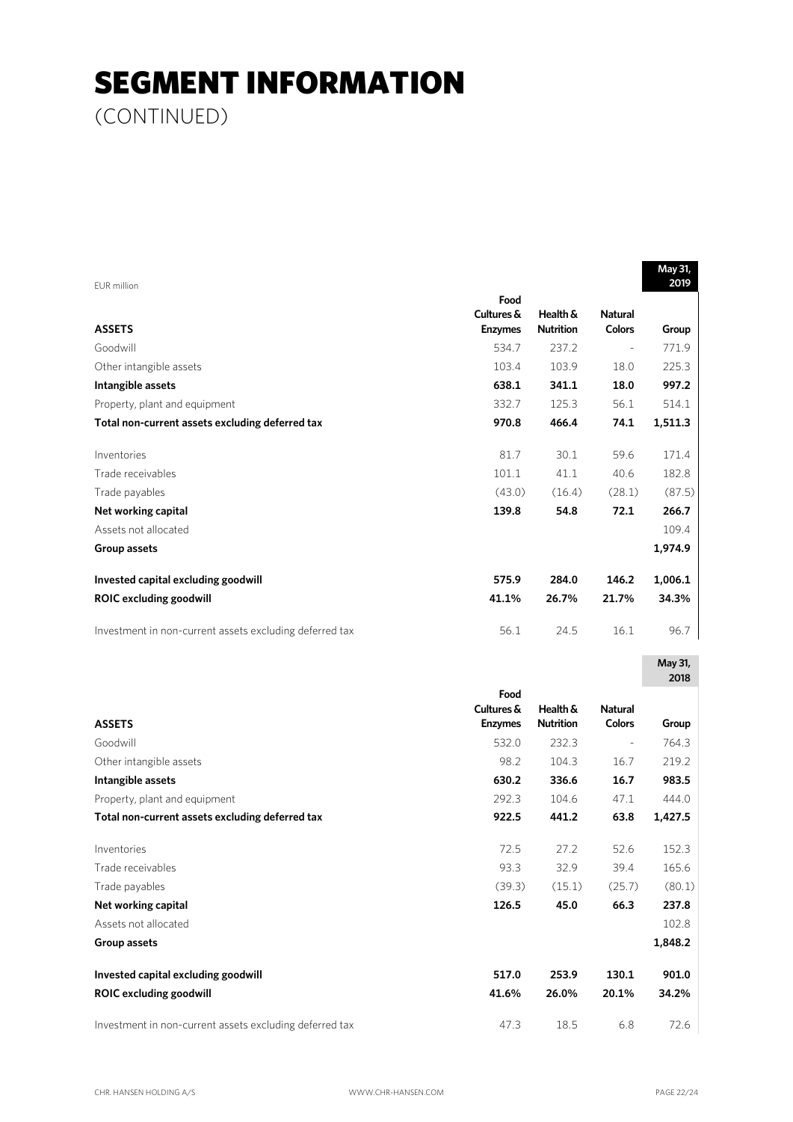(CONTINUED)

| EUR million                                             |                |                  |                | May 31,<br>2019 |
|---------------------------------------------------------|----------------|------------------|----------------|-----------------|
|                                                         | Food           |                  |                |                 |
|                                                         | Cultures &     | Health &         | <b>Natural</b> |                 |
| <b>ASSETS</b>                                           | <b>Enzymes</b> | <b>Nutrition</b> | <b>Colors</b>  | Group           |
| Goodwill                                                | 534.7          | 237.2            | $\frac{1}{2}$  | 771.9           |
| Other intangible assets                                 | 103.4          | 103.9            | 18.0           | 225.3           |
| Intangible assets                                       | 638.1          | 341.1            | 18.0           | 997.2           |
| Property, plant and equipment                           | 332.7          | 125.3            | 56.1           | 514.1           |
| Total non-current assets excluding deferred tax         | 970.8          | 466.4            | 74.1           | 1,511.3         |
| Inventories                                             | 81.7           | 30.1             | 59.6           | 171.4           |
| Trade receivables                                       | 101.1          | 41.1             | 40.6           | 182.8           |
| Trade payables                                          | (43.0)         | (16.4)           | (28.1)         | (87.5)          |
| Net working capital                                     | 139.8          | 54.8             | 72.1           | 266.7           |
| Assets not allocated                                    |                |                  |                | 109.4           |
| Group assets                                            |                |                  |                | 1,974.9         |
| Invested capital excluding goodwill                     | 575.9          | 284.0            | 146.2          | 1,006.1         |
| <b>ROIC excluding goodwill</b>                          | 41.1%          | 26.7%            | 21.7%          | 34.3%           |
| Investment in non-current assets excluding deferred tax | 56.1           | 24.5             | 16.1           | 96.7            |
|                                                         |                |                  |                | May 31,<br>2018 |
|                                                         | Food           |                  |                |                 |
|                                                         | Cultures &     | Health &         | <b>Natural</b> |                 |
| <b>ASSETS</b>                                           | <b>Enzymes</b> | <b>Nutrition</b> | <b>Colors</b>  | Group           |
| Goodwill                                                | 532.0          | 232.3            | $\Box$         | 764.3           |
| Other intangible assets                                 | 98.2           | 104.3            | 16.7           | 219.2           |
| Intangible assets                                       | 630.2          | 336.6            | 16.7           | 983.5           |
| Property, plant and equipment                           | 292.3          | 104.6            | 47.1           | 444.0           |
| Total non-current assets excluding deferred tax         | 922.5          | 441.2            | 63.8           | 1,427.5         |
| Inventories                                             | 72.5           | 27.2             | 52.6           | 152.3           |
| Trade receivables                                       | 93.3           | 32.9             | 39.4           | 165.6           |
| Trade payables                                          | (39.3)         | (15.1)           | (25.7)         | (80.1)          |
| Net working capital                                     | 126.5          | 45.0             | 66.3           | 237.8           |
| Assets not allocated                                    |                |                  |                | 102.8           |
| Group assets                                            |                |                  |                | 1,848.2         |
| Invested capital excluding goodwill                     | 517.0          | 253.9            | 130.1          | 901.0           |
| <b>ROIC excluding goodwill</b>                          | 41.6%          | 26.0%            | 20.1%          | 34.2%           |
| Investment in non-current assets excluding deferred tax | 47.3           | 18.5             | $6.8\,$        | 72.6            |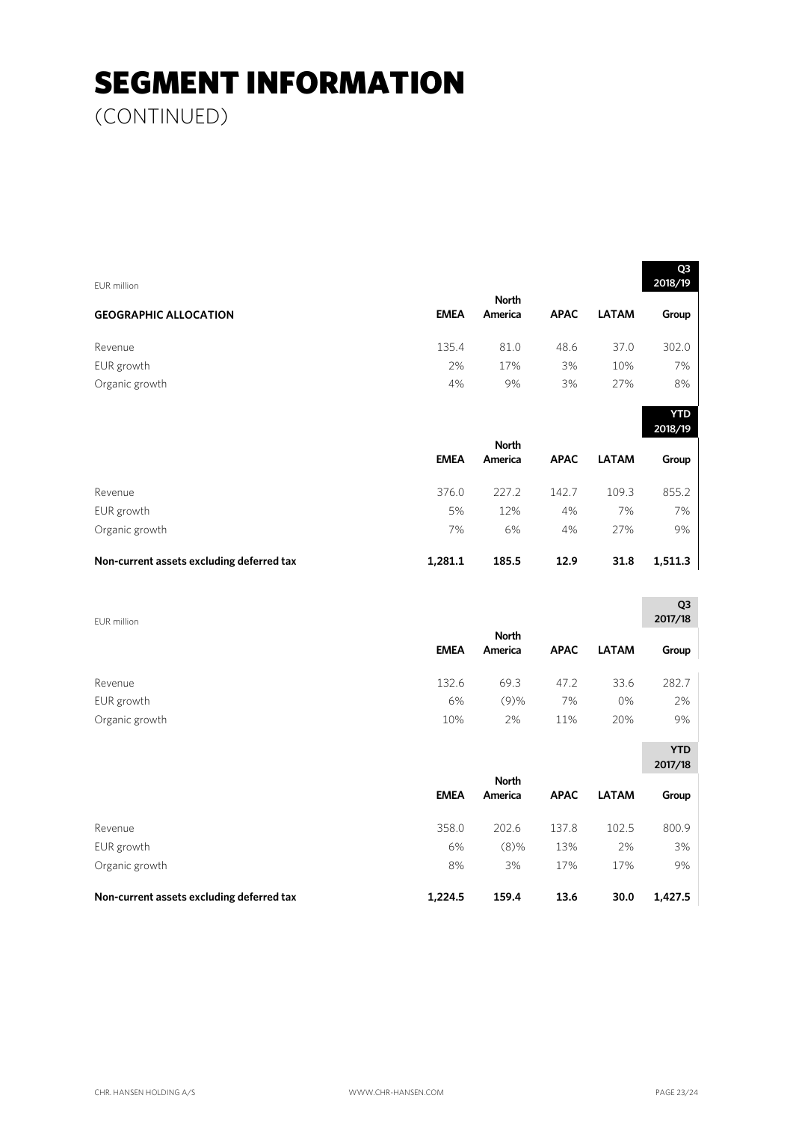(CONTINUED)

| EUR million                               |             |              |             |              | Q3<br>2018/19         |
|-------------------------------------------|-------------|--------------|-------------|--------------|-----------------------|
|                                           |             | <b>North</b> |             |              |                       |
| <b>GEOGRAPHIC ALLOCATION</b>              | <b>EMEA</b> | America      | <b>APAC</b> | <b>LATAM</b> | Group                 |
| Revenue                                   | 135.4       | 81.0         | 48.6        | 37.0         | 302.0                 |
| EUR growth                                | 2%          | 17%          | 3%          | 10%          | 7%                    |
| Organic growth                            | 4%          | 9%           | 3%          | 27%          | 8%                    |
|                                           |             |              |             |              | <b>YTD</b><br>2018/19 |
|                                           |             | <b>North</b> |             |              |                       |
|                                           | <b>EMEA</b> | America      | <b>APAC</b> | <b>LATAM</b> | Group                 |
| Revenue                                   | 376.0       | 227.2        | 142.7       | 109.3        | 855.2                 |
| EUR growth                                | 5%          | 12%          | 4%          | 7%           | 7%                    |
| Organic growth                            | 7%          | 6%           | 4%          | 27%          | 9%                    |
| Non-current assets excluding deferred tax | 1,281.1     | 185.5        | 12.9        | 31.8         | 1,511.3               |
|                                           |             |              |             |              | Q3                    |
| <b>EUR</b> million                        |             | <b>North</b> |             |              | 2017/18               |
|                                           | <b>EMEA</b> | America      | <b>APAC</b> | <b>LATAM</b> | Group                 |
| Revenue                                   | 132.6       | 69.3         | 47.2        | 33.6         | 282.7                 |
| EUR growth                                | 6%          | (9)%         | 7%          | 0%           | 2%                    |
| Organic growth                            | 10%         | 2%           | 11%         | 20%          | 9%                    |
|                                           |             |              |             |              | <b>YTD</b><br>2017/18 |
|                                           |             | <b>North</b> |             |              |                       |
|                                           | <b>EMEA</b> | America      | <b>APAC</b> | <b>LATAM</b> | Group                 |
| Revenue                                   | 358.0       | 202.6        | 137.8       | 102.5        | 800.9                 |
| EUR growth                                | 6%          | $(8)$ %      | 13%         | 2%           | 3%                    |
| Organic growth                            | 8%          | 3%           | 17%         | 17%          | 9%                    |
| Non-current assets excluding deferred tax | 1,224.5     | 159.4        | 13.6        | 30.0         | 1,427.5               |